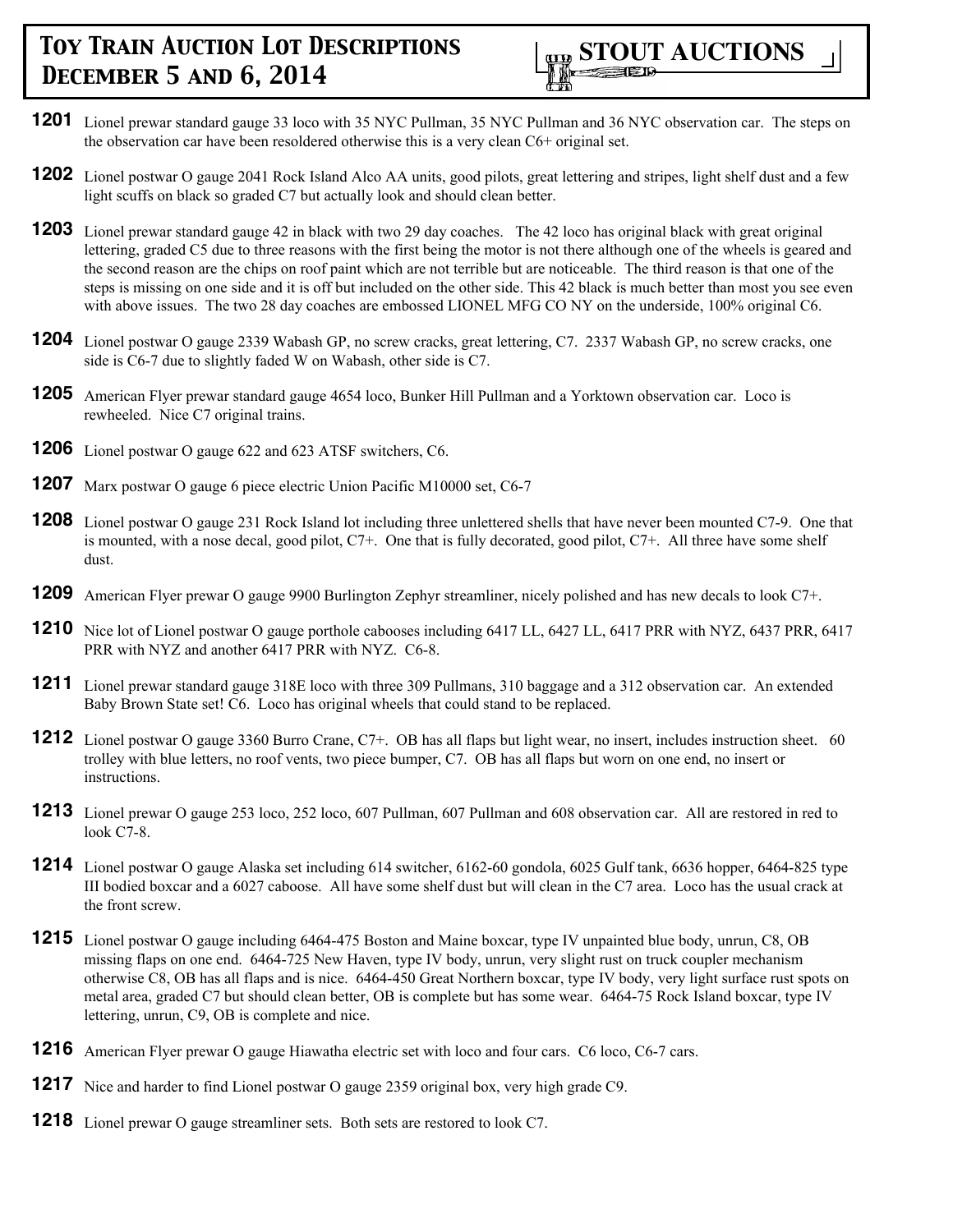

- **1201** Lionel prewar standard gauge 33 loco with 35 NYC Pullman, 35 NYC Pullman and 36 NYC observation car. The steps on the observation car have been resoldered otherwise this is a very clean C6+ original set.
- **1202** Lionel postwar O gauge 2041 Rock Island Alco AA units, good pilots, great lettering and stripes, light shelf dust and a few light scuffs on black so graded C7 but actually look and should clean better.
- **1203** Lionel prewar standard gauge 42 in black with two 29 day coaches. The 42 loco has original black with great original lettering, graded C5 due to three reasons with the first being the motor is not there although one of the wheels is geared and the second reason are the chips on roof paint which are not terrible but are noticeable. The third reason is that one of the steps is missing on one side and it is off but included on the other side. This 42 black is much better than most you see even with above issues. The two 28 day coaches are embossed LIONEL MFG CO NY on the underside, 100% original C6.
- **1204** Lionel postwar O gauge 2339 Wabash GP, no screw cracks, great lettering, C7. 2337 Wabash GP, no screw cracks, one side is C6-7 due to slightly faded W on Wabash, other side is C7.
- **1205** American Flyer prewar standard gauge 4654 loco, Bunker Hill Pullman and a Yorktown observation car. Loco is rewheeled. Nice C7 original trains.
- **1206** Lionel postwar O gauge 622 and 623 ATSF switchers, C6.
- **1207** Marx postwar O gauge 6 piece electric Union Pacific M10000 set, C6-7
- **1208** Lionel postwar O gauge 231 Rock Island lot including three unlettered shells that have never been mounted C7-9. One that is mounted, with a nose decal, good pilot, C7+. One that is fully decorated, good pilot, C7+. All three have some shelf dust.
- **1209** American Flyer prewar O gauge 9900 Burlington Zephyr streamliner, nicely polished and has new decals to look C7+.
- **1210** Nice lot of Lionel postwar O gauge porthole cabooses including 6417 LL, 6427 LL, 6417 PRR with NYZ, 6437 PRR, 6417 PRR with NYZ and another 6417 PRR with NYZ. C6-8.
- **1211** Lionel prewar standard gauge 318E loco with three 309 Pullmans, 310 baggage and a 312 observation car. An extended Baby Brown State set! C6. Loco has original wheels that could stand to be replaced.
- **1212** Lionel postwar O gauge 3360 Burro Crane, C7+. OB has all flaps but light wear, no insert, includes instruction sheet. 60 trolley with blue letters, no roof vents, two piece bumper, C7. OB has all flaps but worn on one end, no insert or instructions.
- **1213** Lionel prewar O gauge 253 loco, 252 loco, 607 Pullman, 607 Pullman and 608 observation car. All are restored in red to look C7-8.
- **1214** Lionel postwar O gauge Alaska set including 614 switcher, 6162-60 gondola, 6025 Gulf tank, 6636 hopper, 6464-825 type III bodied boxcar and a 6027 caboose. All have some shelf dust but will clean in the C7 area. Loco has the usual crack at the front screw.
- **1215** Lionel postwar O gauge including 6464-475 Boston and Maine boxcar, type IV unpainted blue body, unrun, C8, OB missing flaps on one end. 6464-725 New Haven, type IV body, unrun, very slight rust on truck coupler mechanism otherwise C8, OB has all flaps and is nice. 6464-450 Great Northern boxcar, type IV body, very light surface rust spots on metal area, graded C7 but should clean better, OB is complete but has some wear. 6464-75 Rock Island boxcar, type IV lettering, unrun, C9, OB is complete and nice.
- **1216** American Flyer prewar O gauge Hiawatha electric set with loco and four cars. C6 loco, C6-7 cars.
- **1217** Nice and harder to find Lionel postwar O gauge 2359 original box, very high grade C9.
- **1218** Lionel prewar O gauge streamliner sets. Both sets are restored to look C7.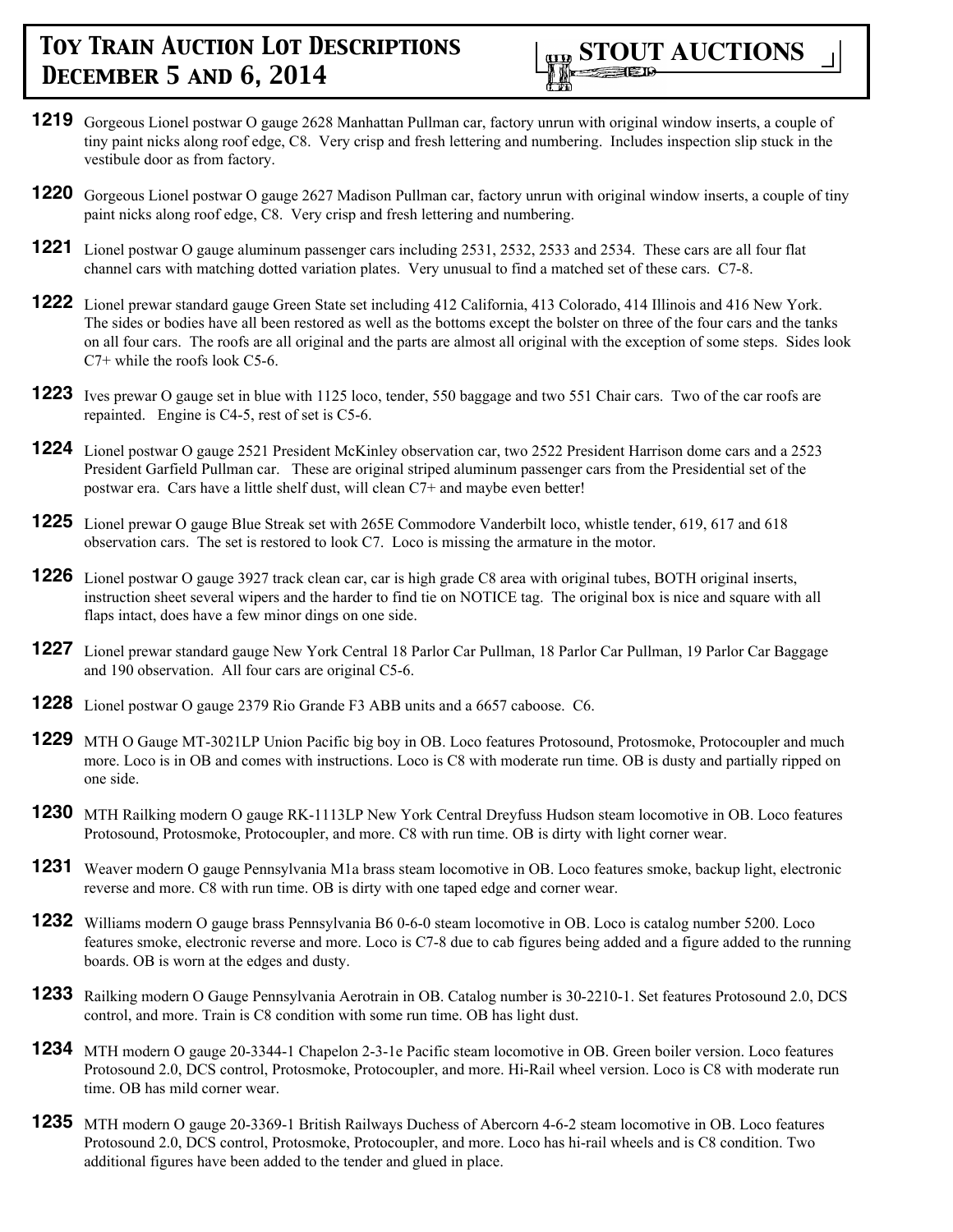

- **1219** Gorgeous Lionel postwar O gauge 2628 Manhattan Pullman car, factory unrun with original window inserts, a couple of tiny paint nicks along roof edge, C8. Very crisp and fresh lettering and numbering. Includes inspection slip stuck in the vestibule door as from factory.
- **1220** Gorgeous Lionel postwar O gauge 2627 Madison Pullman car, factory unrun with original window inserts, a couple of tiny paint nicks along roof edge, C8. Very crisp and fresh lettering and numbering.
- **1221** Lionel postwar O gauge aluminum passenger cars including 2531, 2532, 2533 and 2534. These cars are all four flat channel cars with matching dotted variation plates. Very unusual to find a matched set of these cars. C7-8.
- **1222** Lionel prewar standard gauge Green State set including 412 California, 413 Colorado, 414 Illinois and 416 New York. The sides or bodies have all been restored as well as the bottoms except the bolster on three of the four cars and the tanks on all four cars. The roofs are all original and the parts are almost all original with the exception of some steps. Sides look C7+ while the roofs look C5-6.
- **1223** Ives prewar O gauge set in blue with 1125 loco, tender, 550 baggage and two 551 Chair cars. Two of the car roofs are repainted. Engine is C4-5, rest of set is C5-6.
- **1224** Lionel postwar O gauge 2521 President McKinley observation car, two 2522 President Harrison dome cars and a 2523 President Garfield Pullman car. These are original striped aluminum passenger cars from the Presidential set of the postwar era. Cars have a little shelf dust, will clean C7+ and maybe even better!
- **1225** Lionel prewar O gauge Blue Streak set with 265E Commodore Vanderbilt loco, whistle tender, 619, 617 and 618 observation cars. The set is restored to look C7. Loco is missing the armature in the motor.
- **1226** Lionel postwar O gauge 3927 track clean car, car is high grade C8 area with original tubes, BOTH original inserts, instruction sheet several wipers and the harder to find tie on NOTICE tag. The original box is nice and square with all flaps intact, does have a few minor dings on one side.
- **1227** Lionel prewar standard gauge New York Central 18 Parlor Car Pullman, 18 Parlor Car Pullman, 19 Parlor Car Baggage and 190 observation. All four cars are original C5-6.
- **1228** Lionel postwar O gauge 2379 Rio Grande F3 ABB units and a 6657 caboose. C6.
- **1229** MTH O Gauge MT-3021LP Union Pacific big boy in OB. Loco features Protosound, Protosmoke, Protocoupler and much more. Loco is in OB and comes with instructions. Loco is C8 with moderate run time. OB is dusty and partially ripped on one side.
- **1230** MTH Railking modern O gauge RK-1113LP New York Central Dreyfuss Hudson steam locomotive in OB. Loco features Protosound, Protosmoke, Protocoupler, and more. C8 with run time. OB is dirty with light corner wear.
- **1231** Weaver modern O gauge Pennsylvania M1a brass steam locomotive in OB. Loco features smoke, backup light, electronic reverse and more. C8 with run time. OB is dirty with one taped edge and corner wear.
- **1232** Williams modern O gauge brass Pennsylvania B6 0-6-0 steam locomotive in OB. Loco is catalog number 5200. Loco features smoke, electronic reverse and more. Loco is C7-8 due to cab figures being added and a figure added to the running boards. OB is worn at the edges and dusty.
- **1233** Railking modern O Gauge Pennsylvania Aerotrain in OB. Catalog number is 30-2210-1. Set features Protosound 2.0, DCS control, and more. Train is C8 condition with some run time. OB has light dust.
- **1234** MTH modern O gauge 20-3344-1 Chapelon 2-3-1e Pacific steam locomotive in OB. Green boiler version. Loco features Protosound 2.0, DCS control, Protosmoke, Protocoupler, and more. Hi-Rail wheel version. Loco is C8 with moderate run time. OB has mild corner wear.
- **1235** MTH modern O gauge 20-3369-1 British Railways Duchess of Abercorn 4-6-2 steam locomotive in OB. Loco features Protosound 2.0, DCS control, Protosmoke, Protocoupler, and more. Loco has hi-rail wheels and is C8 condition. Two additional figures have been added to the tender and glued in place.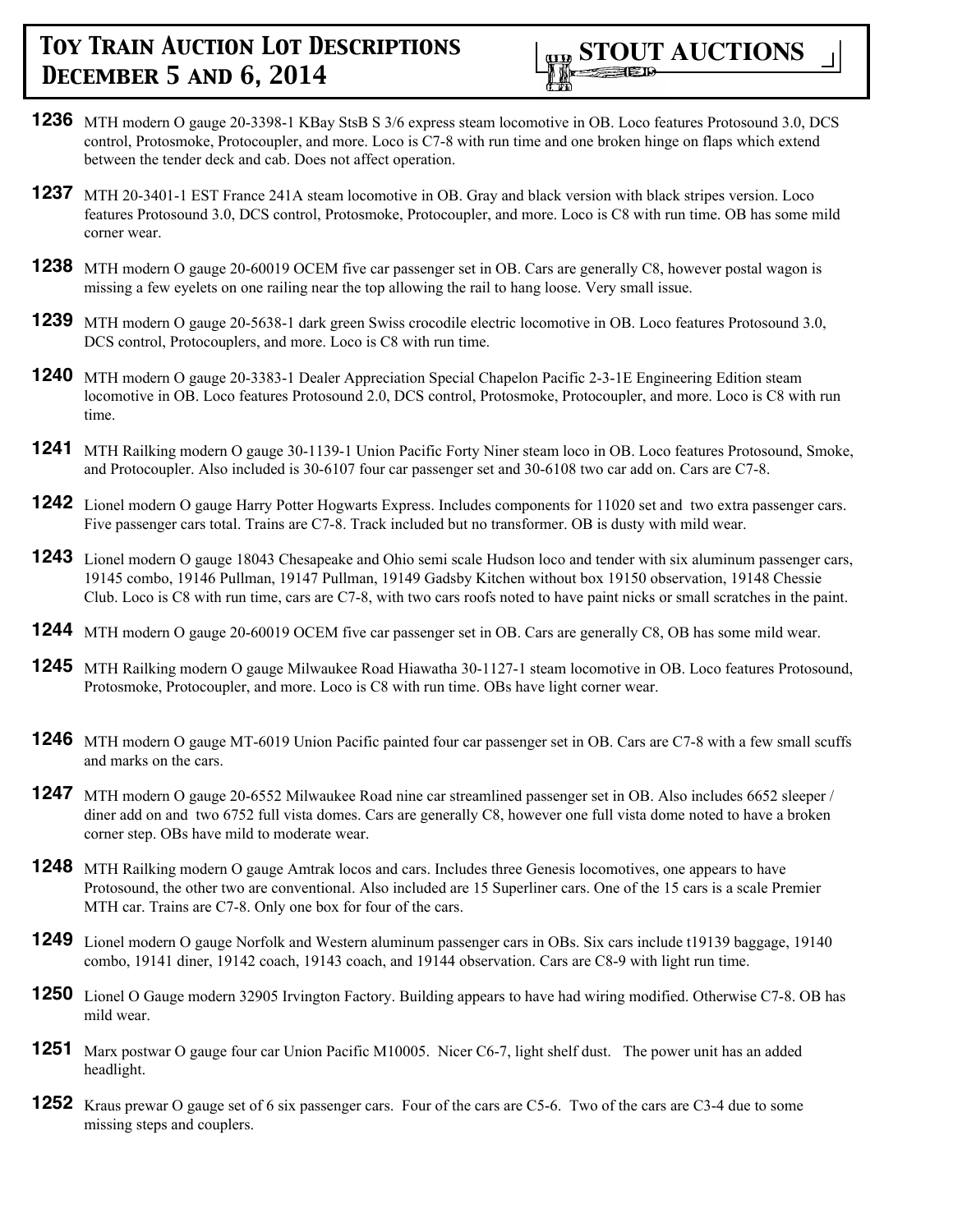- **1236** MTH modern O gauge 20-3398-1 KBay StsB S 3/6 express steam locomotive in OB. Loco features Protosound 3.0, DCS control, Protosmoke, Protocoupler, and more. Loco is C7-8 with run time and one broken hinge on flaps which extend between the tender deck and cab. Does not affect operation.
- **1237** MTH 20-3401-1 EST France 241A steam locomotive in OB. Gray and black version with black stripes version. Loco features Protosound 3.0, DCS control, Protosmoke, Protocoupler, and more. Loco is C8 with run time. OB has some mild corner wear.
- **1238** MTH modern O gauge 20-60019 OCEM five car passenger set in OB. Cars are generally C8, however postal wagon is missing a few eyelets on one railing near the top allowing the rail to hang loose. Very small issue.
- **1239** MTH modern O gauge 20-5638-1 dark green Swiss crocodile electric locomotive in OB. Loco features Protosound 3.0, DCS control, Protocouplers, and more. Loco is C8 with run time.
- **1240** MTH modern O gauge 20-3383-1 Dealer Appreciation Special Chapelon Pacific 2-3-1E Engineering Edition steam locomotive in OB. Loco features Protosound 2.0, DCS control, Protosmoke, Protocoupler, and more. Loco is C8 with run time.
- **1241** MTH Railking modern O gauge 30-1139-1 Union Pacific Forty Niner steam loco in OB. Loco features Protosound, Smoke, and Protocoupler. Also included is 30-6107 four car passenger set and 30-6108 two car add on. Cars are C7-8.
- **1242** Lionel modern O gauge Harry Potter Hogwarts Express. Includes components for 11020 set and two extra passenger cars. Five passenger cars total. Trains are C7-8. Track included but no transformer. OB is dusty with mild wear.
- **1243** Lionel modern O gauge 18043 Chesapeake and Ohio semi scale Hudson loco and tender with six aluminum passenger cars, 19145 combo, 19146 Pullman, 19147 Pullman, 19149 Gadsby Kitchen without box 19150 observation, 19148 Chessie Club. Loco is C8 with run time, cars are C7-8, with two cars roofs noted to have paint nicks or small scratches in the paint.
- **1244** MTH modern O gauge 20-60019 OCEM five car passenger set in OB. Cars are generally C8, OB has some mild wear.
- **1245** MTH Railking modern O gauge Milwaukee Road Hiawatha 30-1127-1 steam locomotive in OB. Loco features Protosound, Protosmoke, Protocoupler, and more. Loco is C8 with run time. OBs have light corner wear.
- **1246** MTH modern O gauge MT-6019 Union Pacific painted four car passenger set in OB. Cars are C7-8 with a few small scuffs and marks on the cars.
- **1247** MTH modern O gauge 20-6552 Milwaukee Road nine car streamlined passenger set in OB. Also includes 6652 sleeper / diner add on and two 6752 full vista domes. Cars are generally C8, however one full vista dome noted to have a broken corner step. OBs have mild to moderate wear.
- **1248** MTH Railking modern O gauge Amtrak locos and cars. Includes three Genesis locomotives, one appears to have Protosound, the other two are conventional. Also included are 15 Superliner cars. One of the 15 cars is a scale Premier MTH car. Trains are C7-8. Only one box for four of the cars.
- **1249** Lionel modern O gauge Norfolk and Western aluminum passenger cars in OBs. Six cars include t19139 baggage, 19140 combo, 19141 diner, 19142 coach, 19143 coach, and 19144 observation. Cars are C8-9 with light run time.
- **1250** Lionel O Gauge modern 32905 Irvington Factory. Building appears to have had wiring modified. Otherwise C7-8. OB has mild wear.
- **1251** Marx postwar O gauge four car Union Pacific M10005. Nicer C6-7, light shelf dust. The power unit has an added headlight.
- **1252** Kraus prewar O gauge set of 6 six passenger cars. Four of the cars are C5-6. Two of the cars are C3-4 due to some missing steps and couplers.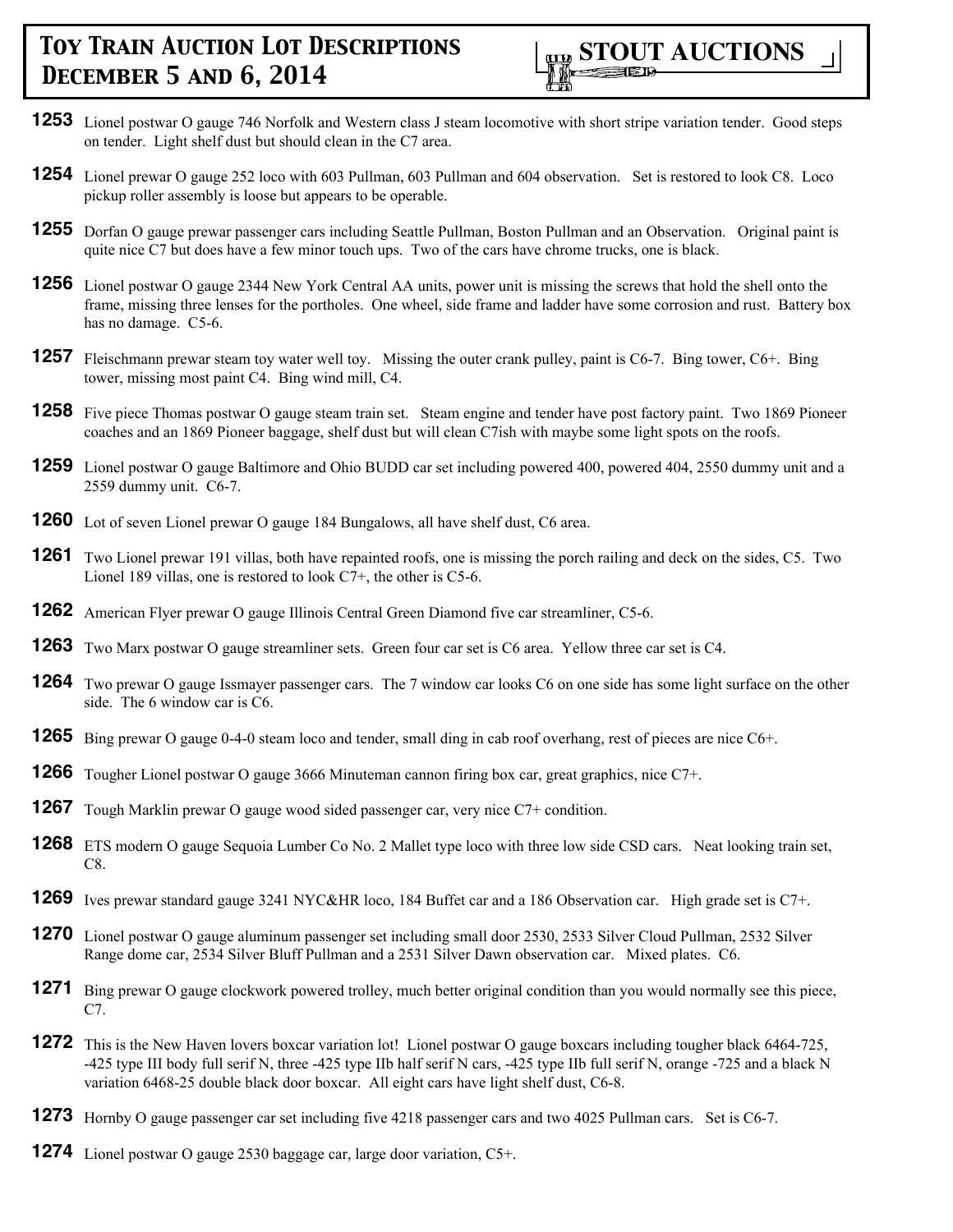

- **1253** Lionel postwar O gauge 746 Norfolk and Western class J steam locomotive with short stripe variation tender. Good steps on tender. Light shelf dust but should clean in the C7 area.
- **1254** Lionel prewar O gauge 252 loco with 603 Pullman, 603 Pullman and 604 observation. Set is restored to look C8. Loco pickup roller assembly is loose but appears to be operable.
- **1255** Dorfan O gauge prewar passenger cars including Seattle Pullman, Boston Pullman and an Observation. Original paint is quite nice C7 but does have a few minor touch ups. Two of the cars have chrome trucks, one is black.
- **1256** Lionel postwar O gauge 2344 New York Central AA units, power unit is missing the screws that hold the shell onto the frame, missing three lenses for the portholes. One wheel, side frame and ladder have some corrosion and rust. Battery box has no damage. C5-6.
- **1257** Fleischmann prewar steam toy water well toy. Missing the outer crank pulley, paint is C6-7. Bing tower, C6+. Bing tower, missing most paint C4. Bing wind mill, C4.
- **1258** Five piece Thomas postwar O gauge steam train set. Steam engine and tender have post factory paint. Two 1869 Pioneer coaches and an 1869 Pioneer baggage, shelf dust but will clean C7ish with maybe some light spots on the roofs.
- **1259** Lionel postwar O gauge Baltimore and Ohio BUDD car set including powered 400, powered 404, 2550 dummy unit and a 2559 dummy unit. C6-7.
- **1260** Lot of seven Lionel prewar O gauge 184 Bungalows, all have shelf dust, C6 area.
- **1261** Two Lionel prewar 191 villas, both have repainted roofs, one is missing the porch railing and deck on the sides, C5. Two Lionel 189 villas, one is restored to look C7+, the other is C5-6.
- **1262** American Flyer prewar O gauge Illinois Central Green Diamond five car streamliner, C5-6.
- **1263** Two Marx postwar O gauge streamliner sets. Green four car set is C6 area. Yellow three car set is C4.
- **1264** Two prewar O gauge Issmayer passenger cars. The 7 window car looks C6 on one side has some light surface on the other side. The 6 window car is C6.
- **1265** Bing prewar O gauge 0-4-0 steam loco and tender, small ding in cab roof overhang, rest of pieces are nice C6+.
- **1266** Tougher Lionel postwar O gauge 3666 Minuteman cannon firing box car, great graphics, nice C7+.
- **1267** Tough Marklin prewar O gauge wood sided passenger car, very nice C7+ condition.
- **1268** ETS modern O gauge Sequoia Lumber Co No. 2 Mallet type loco with three low side CSD cars. Neat looking train set, C8.
- **1269** Ives prewar standard gauge 3241 NYC&HR loco, 184 Buffet car and a 186 Observation car. High grade set is C7+.
- **1270** Lionel postwar O gauge aluminum passenger set including small door 2530, 2533 Silver Cloud Pullman, 2532 Silver Range dome car, 2534 Silver Bluff Pullman and a 2531 Silver Dawn observation car. Mixed plates. C6.
- **1271** Bing prewar O gauge clockwork powered trolley, much better original condition than you would normally see this piece, C7.
- **1272** This is the New Haven lovers boxcar variation lot! Lionel postwar O gauge boxcars including tougher black 6464-725, -425 type III body full serif N, three -425 type IIb half serif N cars, -425 type IIb full serif N, orange -725 and a black N variation 6468-25 double black door boxcar. All eight cars have light shelf dust, C6-8.
- **1273** Hornby O gauge passenger car set including five 4218 passenger cars and two 4025 Pullman cars. Set is C6-7.
- **1274** Lionel postwar O gauge 2530 baggage car, large door variation, C5+.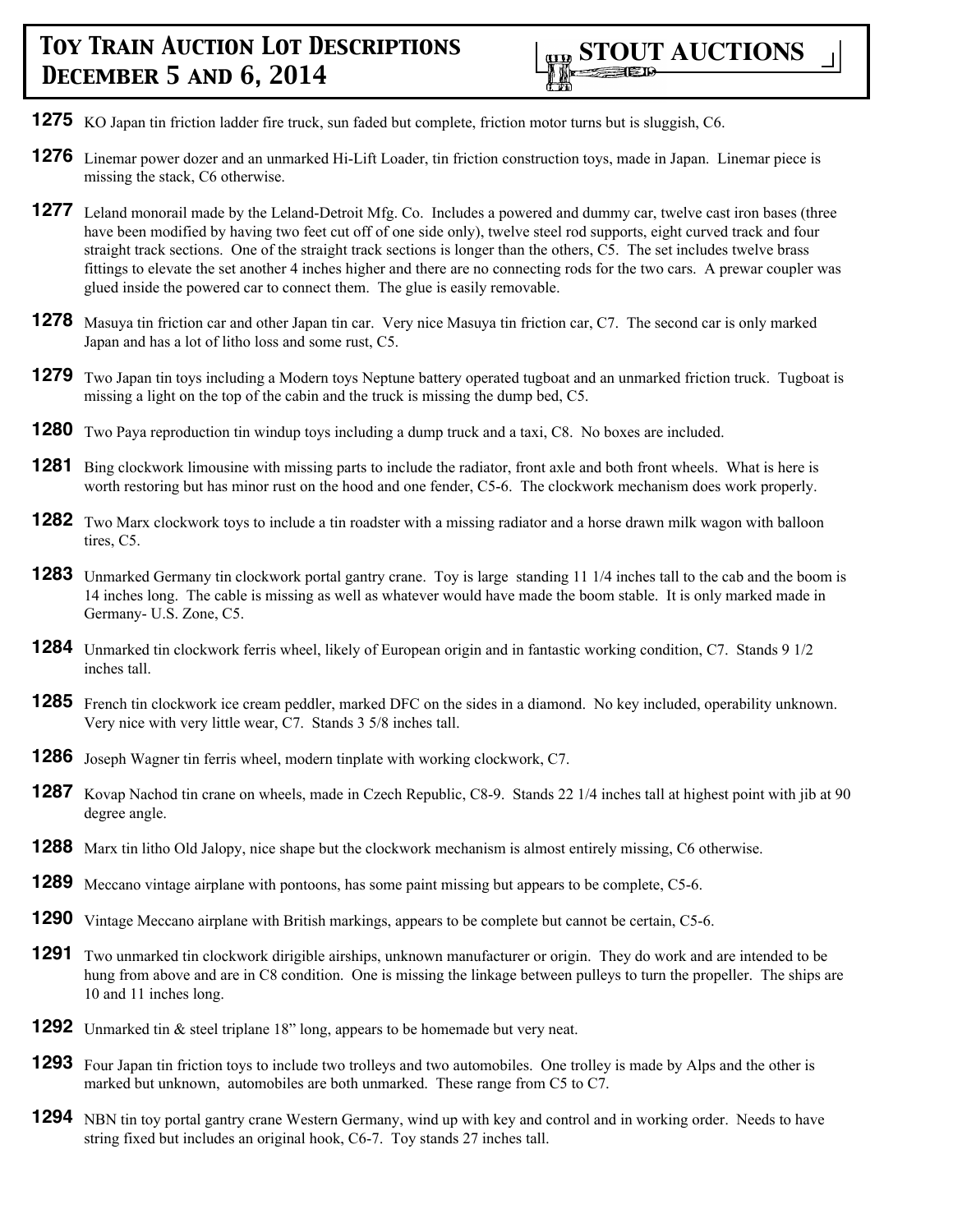- **1275** KO Japan tin friction ladder fire truck, sun faded but complete, friction motor turns but is sluggish, C6.
- **1276** Linemar power dozer and an unmarked Hi-Lift Loader, tin friction construction toys, made in Japan. Linemar piece is missing the stack, C6 otherwise.
- **1277** Leland monorail made by the Leland-Detroit Mfg. Co. Includes a powered and dummy car, twelve cast iron bases (three have been modified by having two feet cut off of one side only), twelve steel rod supports, eight curved track and four straight track sections. One of the straight track sections is longer than the others, C5. The set includes twelve brass fittings to elevate the set another 4 inches higher and there are no connecting rods for the two cars. A prewar coupler was glued inside the powered car to connect them. The glue is easily removable.
- **1278** Masuya tin friction car and other Japan tin car. Very nice Masuya tin friction car, C7. The second car is only marked Japan and has a lot of litho loss and some rust, C5.
- **1279** Two Japan tin toys including a Modern toys Neptune battery operated tugboat and an unmarked friction truck. Tugboat is missing a light on the top of the cabin and the truck is missing the dump bed, C5.
- **1280** Two Paya reproduction tin windup toys including a dump truck and a taxi, C8. No boxes are included.
- **1281** Bing clockwork limousine with missing parts to include the radiator, front axle and both front wheels. What is here is worth restoring but has minor rust on the hood and one fender, C5-6. The clockwork mechanism does work properly.
- **1282** Two Marx clockwork toys to include a tin roadster with a missing radiator and a horse drawn milk wagon with balloon tires, C5.
- **1283** Unmarked Germany tin clockwork portal gantry crane. Toy is large standing 11 1/4 inches tall to the cab and the boom is 14 inches long. The cable is missing as well as whatever would have made the boom stable. It is only marked made in Germany- U.S. Zone, C5.
- **1284** Unmarked tin clockwork ferris wheel, likely of European origin and in fantastic working condition, C7. Stands 9 1/2 inches tall.
- **1285** French tin clockwork ice cream peddler, marked DFC on the sides in a diamond. No key included, operability unknown. Very nice with very little wear, C7. Stands 3 5/8 inches tall.
- **1286** Joseph Wagner tin ferris wheel, modern tinplate with working clockwork, C7.
- **1287** Kovap Nachod tin crane on wheels, made in Czech Republic, C8-9. Stands 22 1/4 inches tall at highest point with jib at 90 degree angle.
- **1288** Marx tin litho Old Jalopy, nice shape but the clockwork mechanism is almost entirely missing, C6 otherwise.
- **1289** Meccano vintage airplane with pontoons, has some paint missing but appears to be complete, C5-6.
- **1290** Vintage Meccano airplane with British markings, appears to be complete but cannot be certain, C5-6.
- **1291** Two unmarked tin clockwork dirigible airships, unknown manufacturer or origin. They do work and are intended to be hung from above and are in C8 condition. One is missing the linkage between pulleys to turn the propeller. The ships are 10 and 11 inches long.
- **1292** Unmarked tin & steel triplane 18" long, appears to be homemade but very neat.
- **1293** Four Japan tin friction toys to include two trolleys and two automobiles. One trolley is made by Alps and the other is marked but unknown, automobiles are both unmarked. These range from C5 to C7.
- **1294** NBN tin toy portal gantry crane Western Germany, wind up with key and control and in working order. Needs to have string fixed but includes an original hook, C6-7. Toy stands 27 inches tall.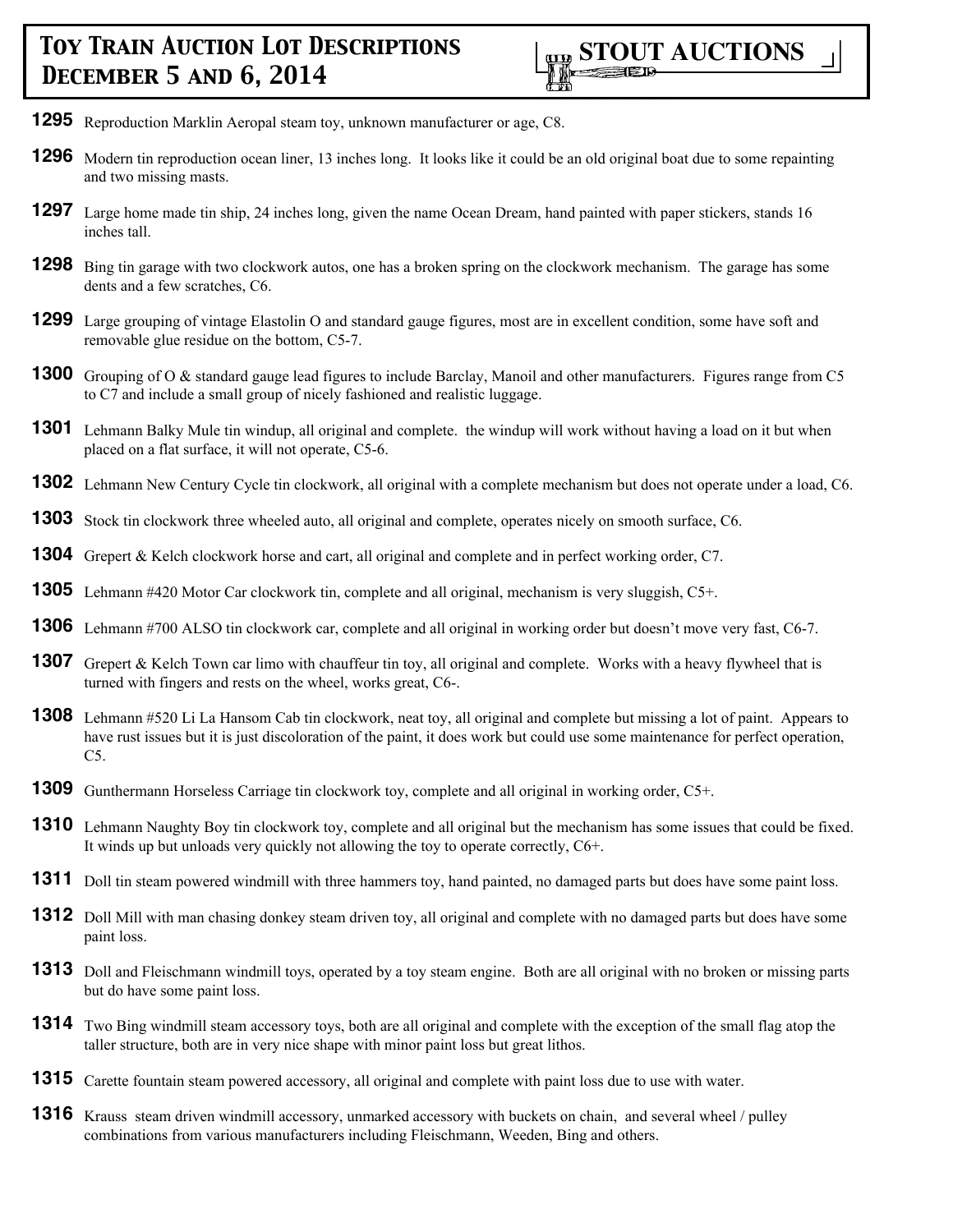- **1295** Reproduction Marklin Aeropal steam toy, unknown manufacturer or age, C8.
- **1296** Modern tin reproduction ocean liner, 13 inches long. It looks like it could be an old original boat due to some repainting and two missing masts.
- **1297** Large home made tin ship, 24 inches long, given the name Ocean Dream, hand painted with paper stickers, stands 16 inches tall.
- **1298** Bing tin garage with two clockwork autos, one has a broken spring on the clockwork mechanism. The garage has some dents and a few scratches, C6.
- **1299** Large grouping of vintage Elastolin O and standard gauge figures, most are in excellent condition, some have soft and removable glue residue on the bottom, C5-7.
- **1300** Grouping of O & standard gauge lead figures to include Barclay, Manoil and other manufacturers. Figures range from C5 to C7 and include a small group of nicely fashioned and realistic luggage.
- **1301** Lehmann Balky Mule tin windup, all original and complete. the windup will work without having a load on it but when placed on a flat surface, it will not operate, C5-6.
- **1302** Lehmann New Century Cycle tin clockwork, all original with a complete mechanism but does not operate under a load, C6.
- **1303** Stock tin clockwork three wheeled auto, all original and complete, operates nicely on smooth surface, C6.
- **1304** Grepert & Kelch clockwork horse and cart, all original and complete and in perfect working order, C7.
- **1305** Lehmann #420 Motor Car clockwork tin, complete and all original, mechanism is very sluggish, C5+.
- **1306** Lehmann #700 ALSO tin clockwork car, complete and all original in working order but doesn't move very fast, C6-7.
- **1307** Grepert & Kelch Town car limo with chauffeur tin toy, all original and complete. Works with a heavy flywheel that is turned with fingers and rests on the wheel, works great, C6-.
- **1308** Lehmann #520 Li La Hansom Cab tin clockwork, neat toy, all original and complete but missing a lot of paint. Appears to have rust issues but it is just discoloration of the paint, it does work but could use some maintenance for perfect operation,  $C5.$
- **1309** Gunthermann Horseless Carriage tin clockwork toy, complete and all original in working order, C5+.
- **1310** Lehmann Naughty Boy tin clockwork toy, complete and all original but the mechanism has some issues that could be fixed. It winds up but unloads very quickly not allowing the toy to operate correctly, C6+.
- **1311** Doll tin steam powered windmill with three hammers toy, hand painted, no damaged parts but does have some paint loss.
- **1312** Doll Mill with man chasing donkey steam driven toy, all original and complete with no damaged parts but does have some paint loss.
- **1313** Doll and Fleischmann windmill toys, operated by a toy steam engine. Both are all original with no broken or missing parts but do have some paint loss.
- **1314** Two Bing windmill steam accessory toys, both are all original and complete with the exception of the small flag atop the taller structure, both are in very nice shape with minor paint loss but great lithos.
- **1315** Carette fountain steam powered accessory, all original and complete with paint loss due to use with water.
- **1316** Krauss steam driven windmill accessory, unmarked accessory with buckets on chain, and several wheel / pulley combinations from various manufacturers including Fleischmann, Weeden, Bing and others.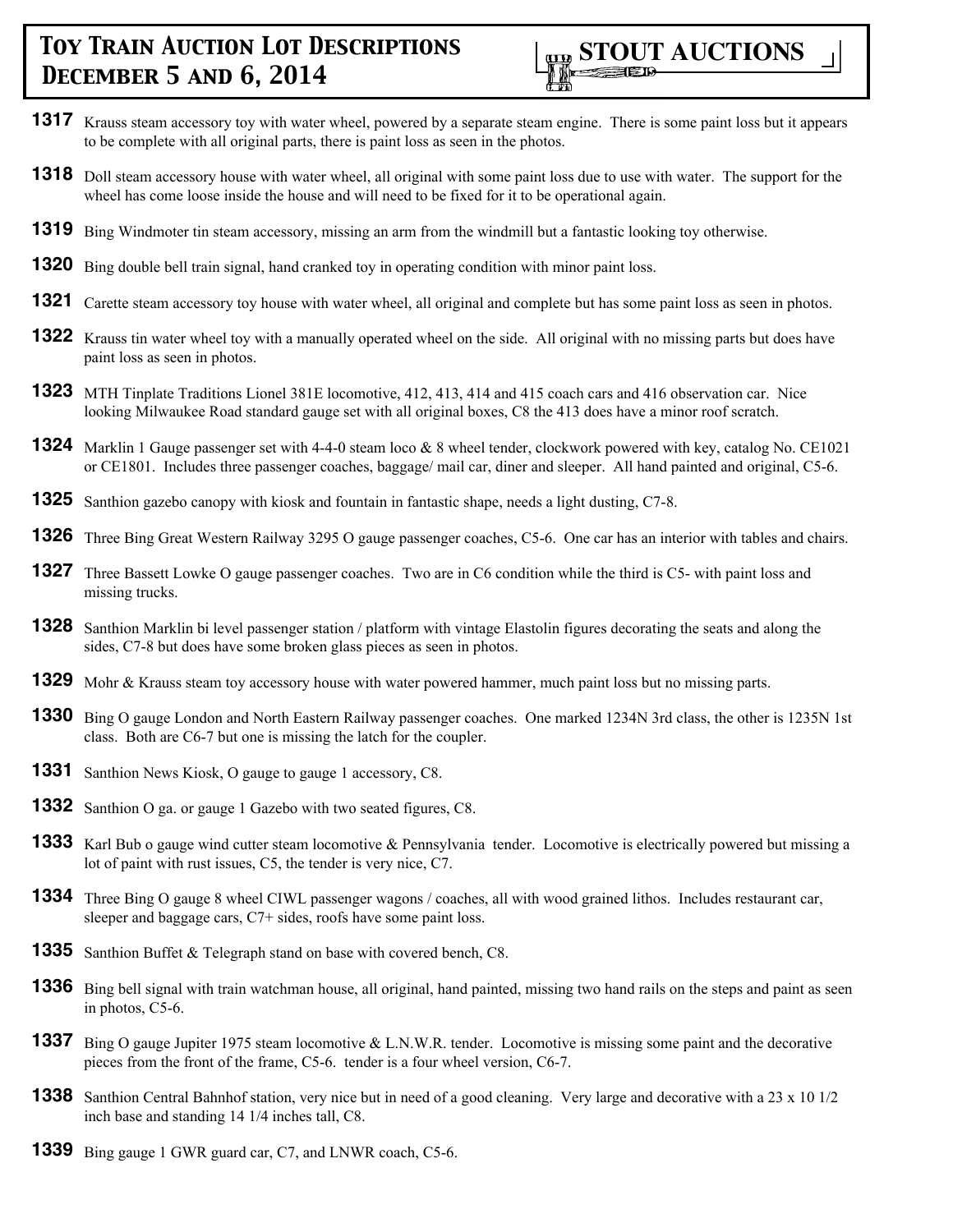

- **1317** Krauss steam accessory toy with water wheel, powered by a separate steam engine. There is some paint loss but it appears to be complete with all original parts, there is paint loss as seen in the photos.
- **1318** Doll steam accessory house with water wheel, all original with some paint loss due to use with water. The support for the wheel has come loose inside the house and will need to be fixed for it to be operational again.
- **1319** Bing Windmoter tin steam accessory, missing an arm from the windmill but a fantastic looking toy otherwise.
- **1320** Bing double bell train signal, hand cranked toy in operating condition with minor paint loss.
- **1321** Carette steam accessory toy house with water wheel, all original and complete but has some paint loss as seen in photos.
- **1322** Krauss tin water wheel toy with a manually operated wheel on the side. All original with no missing parts but does have paint loss as seen in photos.
- **1323** MTH Tinplate Traditions Lionel 381E locomotive, 412, 413, 414 and 415 coach cars and 416 observation car. Nice looking Milwaukee Road standard gauge set with all original boxes, C8 the 413 does have a minor roof scratch.
- **1324** Marklin 1 Gauge passenger set with 4-4-0 steam loco & 8 wheel tender, clockwork powered with key, catalog No. CE1021 or CE1801. Includes three passenger coaches, baggage/ mail car, diner and sleeper. All hand painted and original, C5-6.
- **1325** Santhion gazebo canopy with kiosk and fountain in fantastic shape, needs a light dusting, C7-8.
- **1326** Three Bing Great Western Railway 3295 O gauge passenger coaches, C5-6. One car has an interior with tables and chairs.
- **1327** Three Bassett Lowke O gauge passenger coaches. Two are in C6 condition while the third is C5- with paint loss and missing trucks.
- **1328** Santhion Marklin bi level passenger station / platform with vintage Elastolin figures decorating the seats and along the sides, C7-8 but does have some broken glass pieces as seen in photos.
- **1329** Mohr & Krauss steam toy accessory house with water powered hammer, much paint loss but no missing parts.
- **1330** Bing O gauge London and North Eastern Railway passenger coaches. One marked 1234N 3rd class, the other is 1235N 1st class. Both are C6-7 but one is missing the latch for the coupler.
- **1331** Santhion News Kiosk, O gauge to gauge 1 accessory, C8.
- **1332** Santhion O ga. or gauge 1 Gazebo with two seated figures, C8.
- **1333** Karl Bub o gauge wind cutter steam locomotive & Pennsylvania tender. Locomotive is electrically powered but missing a lot of paint with rust issues, C5, the tender is very nice, C7.
- **1334** Three Bing O gauge 8 wheel CIWL passenger wagons / coaches, all with wood grained lithos. Includes restaurant car, sleeper and baggage cars, C7+ sides, roofs have some paint loss.
- **1335** Santhion Buffet & Telegraph stand on base with covered bench, C8.
- **1336** Bing bell signal with train watchman house, all original, hand painted, missing two hand rails on the steps and paint as seen in photos, C5-6.
- **1337** Bing O gauge Jupiter 1975 steam locomotive & L.N.W.R. tender. Locomotive is missing some paint and the decorative pieces from the front of the frame, C5-6. tender is a four wheel version, C6-7.
- **1338** Santhion Central Bahnhof station, very nice but in need of a good cleaning. Very large and decorative with a 23 x 10 1/2 inch base and standing 14 1/4 inches tall, C8.
- **1339** Bing gauge 1 GWR guard car, C7, and LNWR coach, C5-6.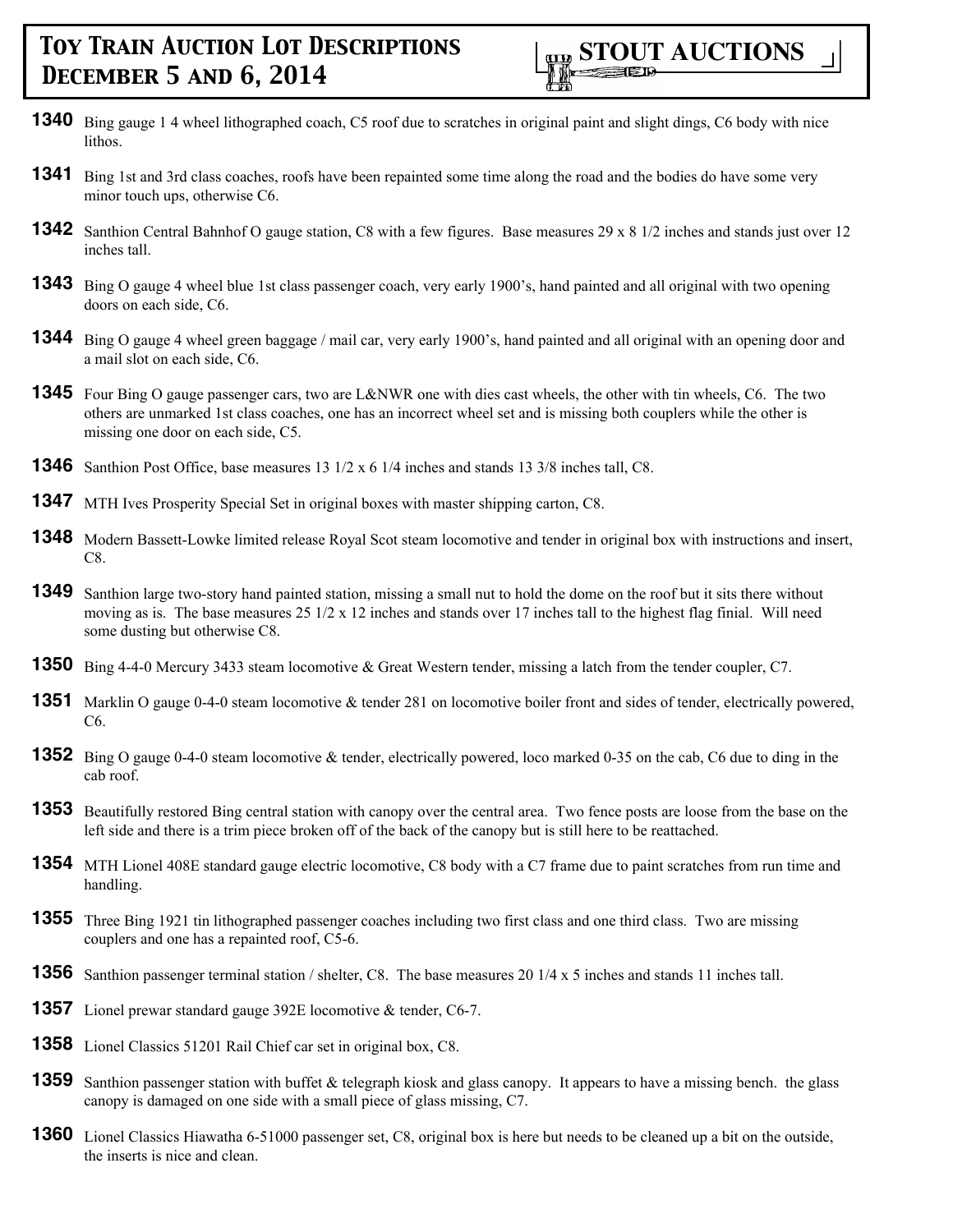- **1340** Bing gauge 1 4 wheel lithographed coach, C5 roof due to scratches in original paint and slight dings, C6 body with nice **lithos**
- **1341** Bing 1st and 3rd class coaches, roofs have been repainted some time along the road and the bodies do have some very minor touch ups, otherwise C6.
- **1342** Santhion Central Bahnhof O gauge station, C8 with a few figures. Base measures 29 x 8 1/2 inches and stands just over 12 inches tall.
- **1343** Bing O gauge 4 wheel blue 1st class passenger coach, very early 1900's, hand painted and all original with two opening doors on each side, C6.
- **1344** Bing O gauge 4 wheel green baggage / mail car, very early 1900's, hand painted and all original with an opening door and a mail slot on each side, C6.
- **1345** Four Bing O gauge passenger cars, two are L&NWR one with dies cast wheels, the other with tin wheels, C6. The two others are unmarked 1st class coaches, one has an incorrect wheel set and is missing both couplers while the other is missing one door on each side, C5.
- **1346** Santhion Post Office, base measures 13 1/2 x 6 1/4 inches and stands 13 3/8 inches tall, C8.
- **1347** MTH Ives Prosperity Special Set in original boxes with master shipping carton, C8.
- **1348** Modern Bassett-Lowke limited release Royal Scot steam locomotive and tender in original box with instructions and insert, C8.
- **1349** Santhion large two-story hand painted station, missing a small nut to hold the dome on the roof but it sits there without moving as is. The base measures  $25 \frac{1}{2} \times 12$  inches and stands over 17 inches tall to the highest flag finial. Will need some dusting but otherwise C8.
- **1350** Bing 4-4-0 Mercury 3433 steam locomotive & Great Western tender, missing a latch from the tender coupler, C7.
- **1351** Marklin O gauge 0-4-0 steam locomotive & tender 281 on locomotive boiler front and sides of tender, electrically powered, C6.
- **1352** Bing O gauge 0-4-0 steam locomotive & tender, electrically powered, loco marked 0-35 on the cab, C6 due to ding in the cab roof.
- **1353** Beautifully restored Bing central station with canopy over the central area. Two fence posts are loose from the base on the left side and there is a trim piece broken off of the back of the canopy but is still here to be reattached.
- **1354** MTH Lionel 408E standard gauge electric locomotive, C8 body with a C7 frame due to paint scratches from run time and handling.
- **1355** Three Bing 1921 tin lithographed passenger coaches including two first class and one third class. Two are missing couplers and one has a repainted roof, C5-6.
- **1356** Santhion passenger terminal station / shelter, C8. The base measures 20 1/4 x 5 inches and stands 11 inches tall.
- **1357** Lionel prewar standard gauge 392E locomotive & tender, C6-7.
- **1358** Lionel Classics 51201 Rail Chief car set in original box, C8.
- **1359** Santhion passenger station with buffet & telegraph kiosk and glass canopy. It appears to have a missing bench. the glass canopy is damaged on one side with a small piece of glass missing, C7.
- **1360** Lionel Classics Hiawatha 6-51000 passenger set, C8, original box is here but needs to be cleaned up a bit on the outside, the inserts is nice and clean.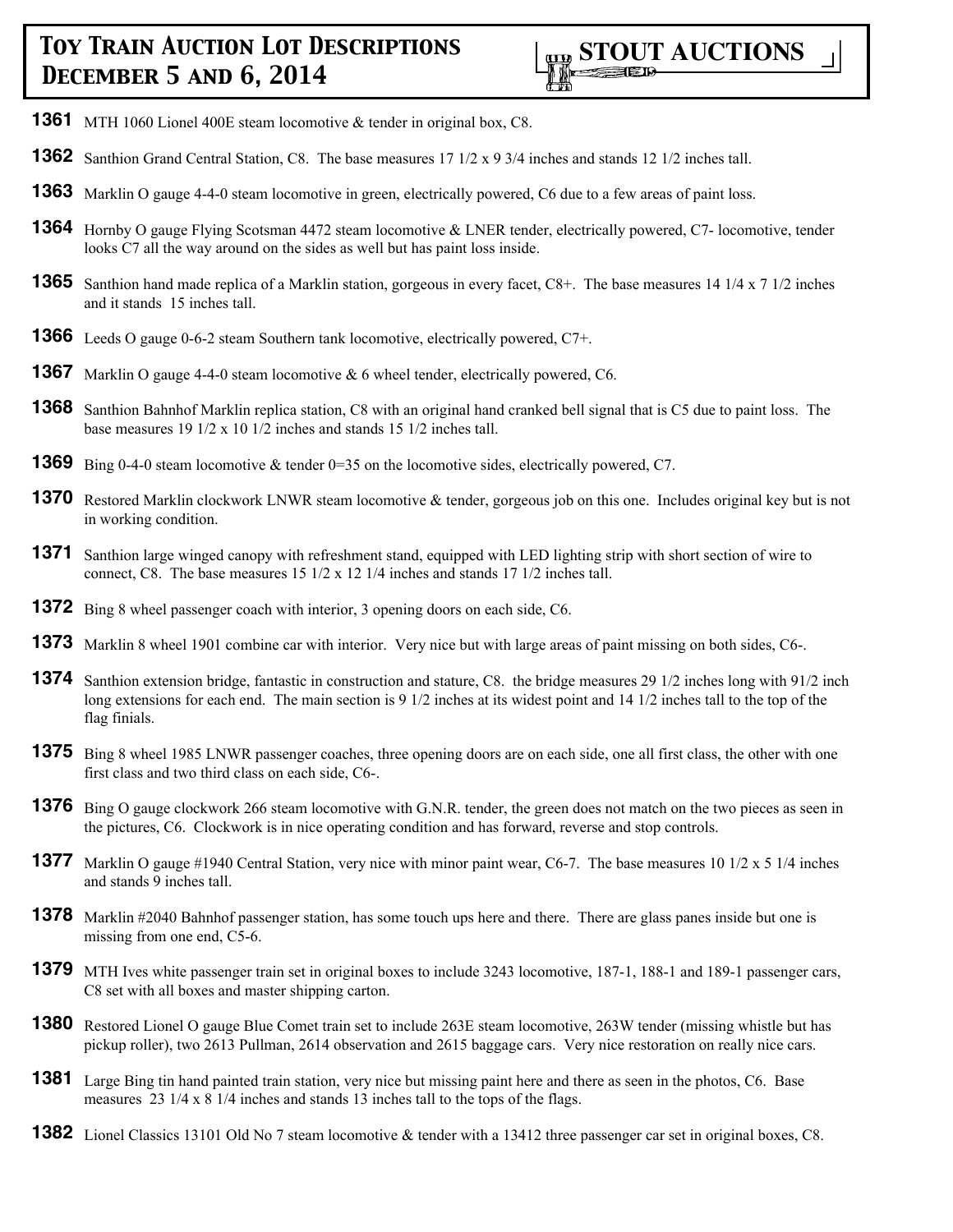

- **1361** MTH 1060 Lionel 400E steam locomotive & tender in original box, C8.
- **1362** Santhion Grand Central Station, C8. The base measures 17 1/2 x 9 3/4 inches and stands 12 1/2 inches tall.
- **1363** Marklin O gauge 4-4-0 steam locomotive in green, electrically powered, C6 due to a few areas of paint loss.
- **1364** Hornby O gauge Flying Scotsman 4472 steam locomotive & LNER tender, electrically powered, C7- locomotive, tender looks C7 all the way around on the sides as well but has paint loss inside.
- **1365** Santhion hand made replica of a Marklin station, gorgeous in every facet, C8+. The base measures 14 1/4 x 7 1/2 inches and it stands 15 inches tall.
- **1366** Leeds O gauge 0-6-2 steam Southern tank locomotive, electrically powered, C7+.
- **1367** Marklin O gauge 4-4-0 steam locomotive & 6 wheel tender, electrically powered, C6.
- **1368** Santhion Bahnhof Marklin replica station, C8 with an original hand cranked bell signal that is C5 due to paint loss. The base measures 19 1/2 x 10 1/2 inches and stands 15 1/2 inches tall.
- **1369** Bing 0-4-0 steam locomotive & tender 0=35 on the locomotive sides, electrically powered, C7.
- **1370** Restored Marklin clockwork LNWR steam locomotive & tender, gorgeous job on this one. Includes original key but is not in working condition.
- **1371** Santhion large winged canopy with refreshment stand, equipped with LED lighting strip with short section of wire to connect, C8. The base measures 15 1/2 x 12 1/4 inches and stands 17 1/2 inches tall.
- **1372** Bing 8 wheel passenger coach with interior, 3 opening doors on each side, C6.
- **1373** Marklin 8 wheel 1901 combine car with interior. Very nice but with large areas of paint missing on both sides, C6-.
- **1374** Santhion extension bridge, fantastic in construction and stature, C8. the bridge measures 29 1/2 inches long with 91/2 inch long extensions for each end. The main section is 9 1/2 inches at its widest point and 14 1/2 inches tall to the top of the flag finials.
- **1375** Bing 8 wheel 1985 LNWR passenger coaches, three opening doors are on each side, one all first class, the other with one first class and two third class on each side, C6-.
- **1376** Bing O gauge clockwork 266 steam locomotive with G.N.R. tender, the green does not match on the two pieces as seen in the pictures, C6. Clockwork is in nice operating condition and has forward, reverse and stop controls.
- **1377** Marklin O gauge #1940 Central Station, very nice with minor paint wear, C6-7. The base measures 10 1/2 x 5 1/4 inches and stands 9 inches tall.
- **1378** Marklin #2040 Bahnhof passenger station, has some touch ups here and there. There are glass panes inside but one is missing from one end, C5-6.
- **1379** MTH Ives white passenger train set in original boxes to include 3243 locomotive, 187-1, 188-1 and 189-1 passenger cars, C8 set with all boxes and master shipping carton.
- **1380** Restored Lionel O gauge Blue Comet train set to include 263E steam locomotive, 263W tender (missing whistle but has pickup roller), two 2613 Pullman, 2614 observation and 2615 baggage cars. Very nice restoration on really nice cars.
- **1381** Large Bing tin hand painted train station, very nice but missing paint here and there as seen in the photos, C6. Base measures 23 1/4 x 8 1/4 inches and stands 13 inches tall to the tops of the flags.
- **1382** Lionel Classics 13101 Old No 7 steam locomotive & tender with a 13412 three passenger car set in original boxes, C8.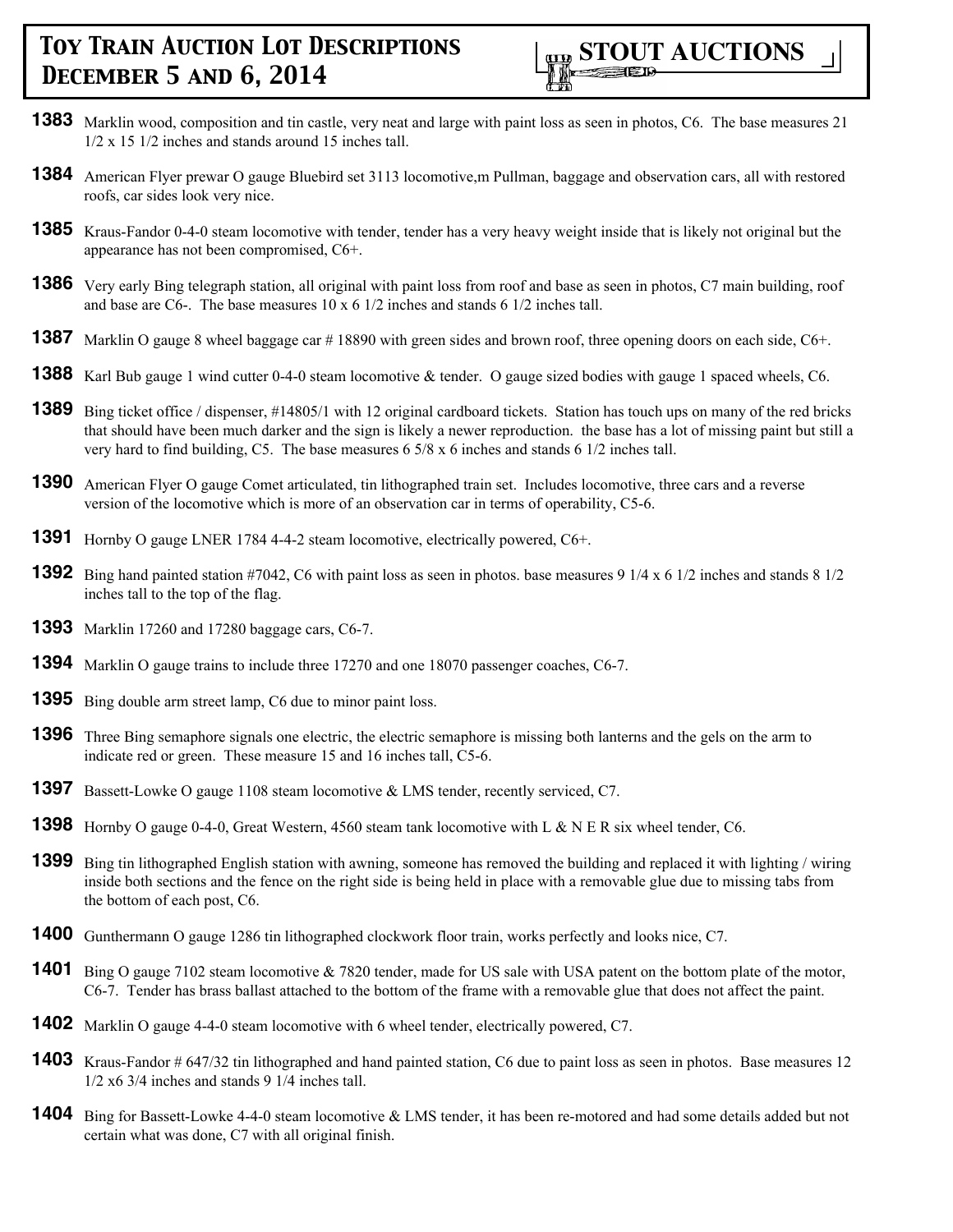

- **1383** Marklin wood, composition and tin castle, very neat and large with paint loss as seen in photos, C6. The base measures 21  $1/2 \times 15$  1/2 inches and stands around 15 inches tall.
- **1384** American Flyer prewar O gauge Bluebird set 3113 locomotive, m Pullman, baggage and observation cars, all with restored roofs, car sides look very nice.
- **1385** Kraus-Fandor 0-4-0 steam locomotive with tender, tender has a very heavy weight inside that is likely not original but the appearance has not been compromised, C6+.
- **1386** Very early Bing telegraph station, all original with paint loss from roof and base as seen in photos, C7 main building, roof and base are C6-. The base measures 10 x 6 1/2 inches and stands 6 1/2 inches tall.
- **1387** Marklin O gauge 8 wheel baggage car #18890 with green sides and brown roof, three opening doors on each side, C6+.
- **1388** Karl Bub gauge 1 wind cutter 0-4-0 steam locomotive & tender. O gauge sized bodies with gauge 1 spaced wheels, C6.
- **1389** Bing ticket office / dispenser, #14805/1 with 12 original cardboard tickets. Station has touch ups on many of the red bricks that should have been much darker and the sign is likely a newer reproduction. the base has a lot of missing paint but still a very hard to find building, C5. The base measures 6 5/8 x 6 inches and stands 6 1/2 inches tall.
- **1390** American Flyer O gauge Comet articulated, tin lithographed train set. Includes locomotive, three cars and a reverse version of the locomotive which is more of an observation car in terms of operability, C5-6.
- **1391** Hornby O gauge LNER 1784 4-4-2 steam locomotive, electrically powered, C6+.
- **1392** Bing hand painted station #7042, C6 with paint loss as seen in photos. base measures 9 1/4 x 6 1/2 inches and stands 8 1/2 inches tall to the top of the flag.
- **1393** Marklin 17260 and 17280 baggage cars, C6-7.
- **1394** Marklin O gauge trains to include three 17270 and one 18070 passenger coaches, C6-7.
- **1395** Bing double arm street lamp, C6 due to minor paint loss.
- **1396** Three Bing semaphore signals one electric, the electric semaphore is missing both lanterns and the gels on the arm to indicate red or green. These measure 15 and 16 inches tall, C5-6.
- **1397** Bassett-Lowke O gauge 1108 steam locomotive & LMS tender, recently serviced, C7.
- **1398** Hornby O gauge 0-4-0, Great Western, 4560 steam tank locomotive with L & N E R six wheel tender, C6.
- **1399** Bing tin lithographed English station with awning, someone has removed the building and replaced it with lighting / wiring inside both sections and the fence on the right side is being held in place with a removable glue due to missing tabs from the bottom of each post, C6.
- **1400** Gunthermann O gauge 1286 tin lithographed clockwork floor train, works perfectly and looks nice, C7.
- **1401** Bing O gauge 7102 steam locomotive & 7820 tender, made for US sale with USA patent on the bottom plate of the motor, C6-7. Tender has brass ballast attached to the bottom of the frame with a removable glue that does not affect the paint.
- **1402** Marklin O gauge 4-4-0 steam locomotive with 6 wheel tender, electrically powered, C7.
- **1403** Kraus-Fandor # 647/32 tin lithographed and hand painted station, C6 due to paint loss as seen in photos. Base measures 12  $1/2$  x6 3/4 inches and stands 9 1/4 inches tall.
- **1404** Bing for Bassett-Lowke 4-4-0 steam locomotive & LMS tender, it has been re-motored and had some details added but not certain what was done, C7 with all original finish.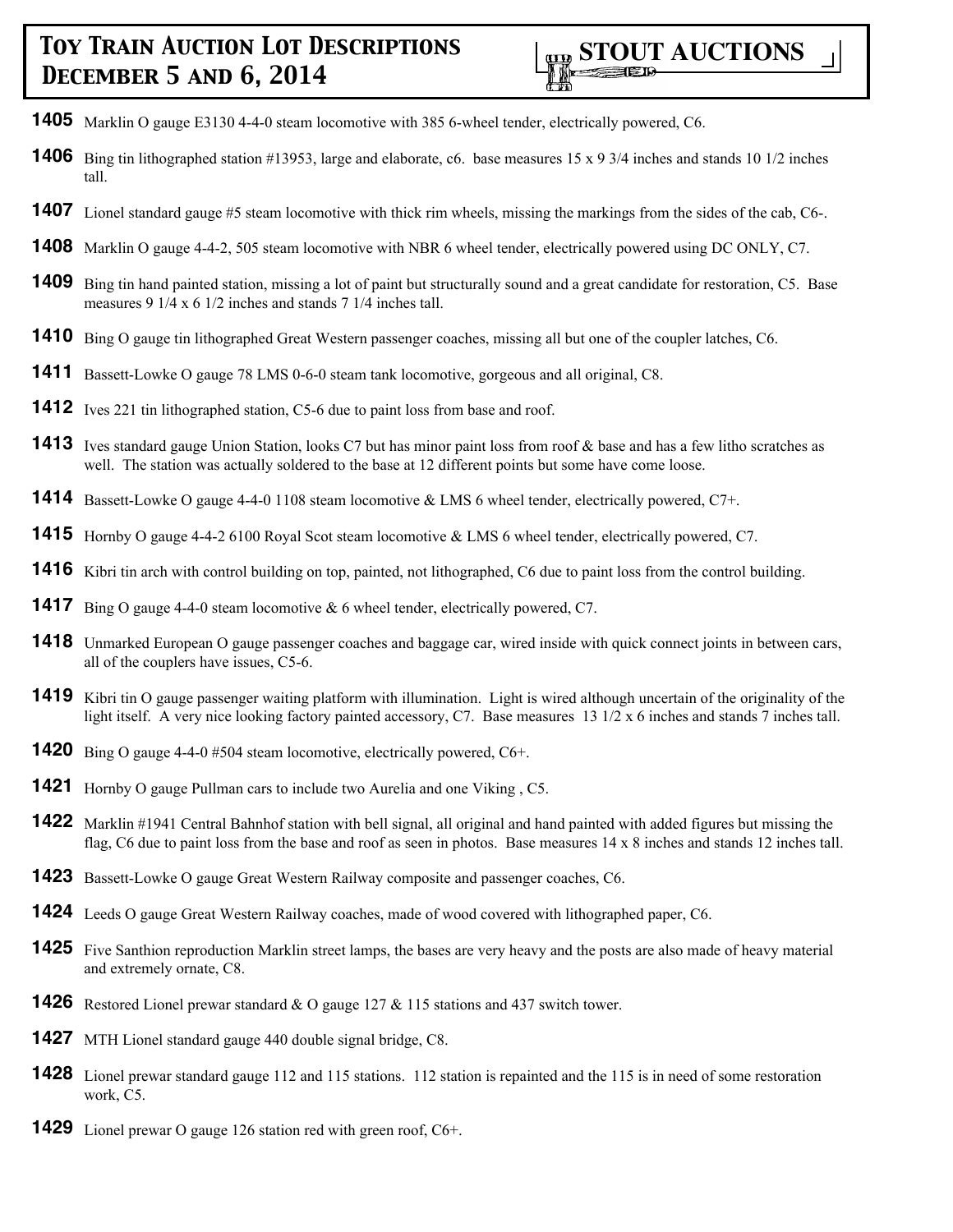- Marklin O gauge E3130 4-4-0 steam locomotive with 385 6-wheel tender, electrically powered, C6.
- Bing tin lithographed station #13953, large and elaborate, c6. base measures 15 x 9 3/4 inches and stands 10 1/2 inches tall.
- Lionel standard gauge #5 steam locomotive with thick rim wheels, missing the markings from the sides of the cab, C6-.
- Marklin O gauge 4-4-2, 505 steam locomotive with NBR 6 wheel tender, electrically powered using DC ONLY, C7.
- Bing tin hand painted station, missing a lot of paint but structurally sound and a great candidate for restoration, C5. Base measures 9 1/4 x 6 1/2 inches and stands 7 1/4 inches tall.
- Bing O gauge tin lithographed Great Western passenger coaches, missing all but one of the coupler latches, C6.
- Bassett-Lowke O gauge 78 LMS 0-6-0 steam tank locomotive, gorgeous and all original, C8.
- Ives 221 tin lithographed station, C5-6 due to paint loss from base and roof.
- 1413 Ives standard gauge Union Station, looks C7 but has minor paint loss from roof & base and has a few litho scratches as well. The station was actually soldered to the base at 12 different points but some have come loose.
- Bassett-Lowke O gauge 4-4-0 1108 steam locomotive & LMS 6 wheel tender, electrically powered, C7+.
- Hornby O gauge 4-4-2 6100 Royal Scot steam locomotive & LMS 6 wheel tender, electrically powered, C7.
- Kibri tin arch with control building on top, painted, not lithographed, C6 due to paint loss from the control building.
- Bing O gauge 4-4-0 steam locomotive & 6 wheel tender, electrically powered, C7.
- Unmarked European O gauge passenger coaches and baggage car, wired inside with quick connect joints in between cars, all of the couplers have issues, C5-6.
- Kibri tin O gauge passenger waiting platform with illumination. Light is wired although uncertain of the originality of the light itself. A very nice looking factory painted accessory, C7. Base measures 13 1/2 x 6 inches and stands 7 inches tall.
- Bing O gauge 4-4-0 #504 steam locomotive, electrically powered, C6+.
- Hornby O gauge Pullman cars to include two Aurelia and one Viking , C5.
- Marklin #1941 Central Bahnhof station with bell signal, all original and hand painted with added figures but missing the flag, C6 due to paint loss from the base and roof as seen in photos. Base measures 14 x 8 inches and stands 12 inches tall.
- Bassett-Lowke O gauge Great Western Railway composite and passenger coaches, C6.
- Leeds O gauge Great Western Railway coaches, made of wood covered with lithographed paper, C6.
- Five Santhion reproduction Marklin street lamps, the bases are very heavy and the posts are also made of heavy material and extremely ornate, C8.
- Restored Lionel prewar standard & O gauge 127 & 115 stations and 437 switch tower.
- MTH Lionel standard gauge 440 double signal bridge, C8.
- Lionel prewar standard gauge 112 and 115 stations. 112 station is repainted and the 115 is in need of some restoration work, C5.
- Lionel prewar O gauge 126 station red with green roof, C6+.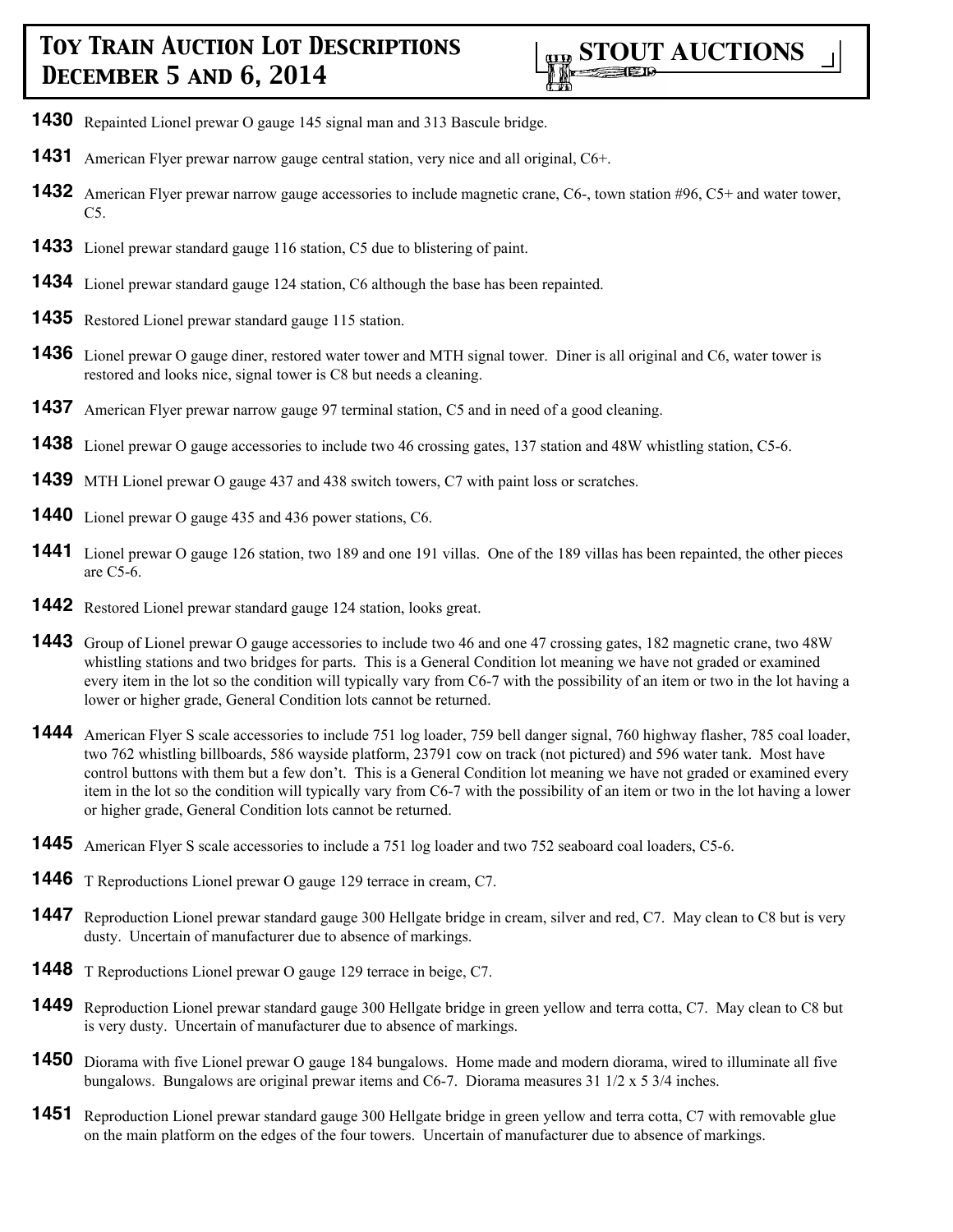- **1430** Repainted Lionel prewar O gauge 145 signal man and 313 Bascule bridge.
- **1431** American Flyer prewar narrow gauge central station, very nice and all original, C6+.
- **1432** American Flyer prewar narrow gauge accessories to include magnetic crane, C6-, town station #96, C5+ and water tower, C5.
- **1433** Lionel prewar standard gauge 116 station, C5 due to blistering of paint.
- **1434** Lionel prewar standard gauge 124 station, C6 although the base has been repainted.
- **1435** Restored Lionel prewar standard gauge 115 station.
- **1436** Lionel prewar O gauge diner, restored water tower and MTH signal tower. Diner is all original and C6, water tower is restored and looks nice, signal tower is C8 but needs a cleaning.
- **1437** American Flyer prewar narrow gauge 97 terminal station, C5 and in need of a good cleaning.
- **1438** Lionel prewar O gauge accessories to include two 46 crossing gates, 137 station and 48W whistling station, C5-6.
- **1439** MTH Lionel prewar O gauge 437 and 438 switch towers, C7 with paint loss or scratches.
- **1440** Lionel prewar O gauge 435 and 436 power stations, C6.
- **1441** Lionel prewar O gauge 126 station, two 189 and one 191 villas. One of the 189 villas has been repainted, the other pieces are C5-6.
- **1442** Restored Lionel prewar standard gauge 124 station, looks great.
- **1443** Group of Lionel prewar O gauge accessories to include two 46 and one 47 crossing gates, 182 magnetic crane, two 48W whistling stations and two bridges for parts. This is a General Condition lot meaning we have not graded or examined every item in the lot so the condition will typically vary from C6-7 with the possibility of an item or two in the lot having a lower or higher grade, General Condition lots cannot be returned.
- **1444** American Flyer S scale accessories to include 751 log loader, 759 bell danger signal, 760 highway flasher, 785 coal loader, two 762 whistling billboards, 586 wayside platform, 23791 cow on track (not pictured) and 596 water tank. Most have control buttons with them but a few don't. This is a General Condition lot meaning we have not graded or examined every item in the lot so the condition will typically vary from C6-7 with the possibility of an item or two in the lot having a lower or higher grade, General Condition lots cannot be returned.
- **1445** American Flyer S scale accessories to include a 751 log loader and two 752 seaboard coal loaders, C5-6.
- **1446** T Reproductions Lionel prewar O gauge 129 terrace in cream, C7.
- **1447** Reproduction Lionel prewar standard gauge 300 Hellgate bridge in cream, silver and red, C7. May clean to C8 but is very dusty. Uncertain of manufacturer due to absence of markings.
- **1448** T Reproductions Lionel prewar O gauge 129 terrace in beige, C7.
- **1449** Reproduction Lionel prewar standard gauge 300 Hellgate bridge in green yellow and terra cotta, C7. May clean to C8 but is very dusty. Uncertain of manufacturer due to absence of markings.
- **1450** Diorama with five Lionel prewar O gauge 184 bungalows. Home made and modern diorama, wired to illuminate all five bungalows. Bungalows are original prewar items and C6-7. Diorama measures  $31 \frac{1}{2} \times 5 \frac{3}{4}$  inches.
- **1451** Reproduction Lionel prewar standard gauge 300 Hellgate bridge in green yellow and terra cotta, C7 with removable glue on the main platform on the edges of the four towers. Uncertain of manufacturer due to absence of markings.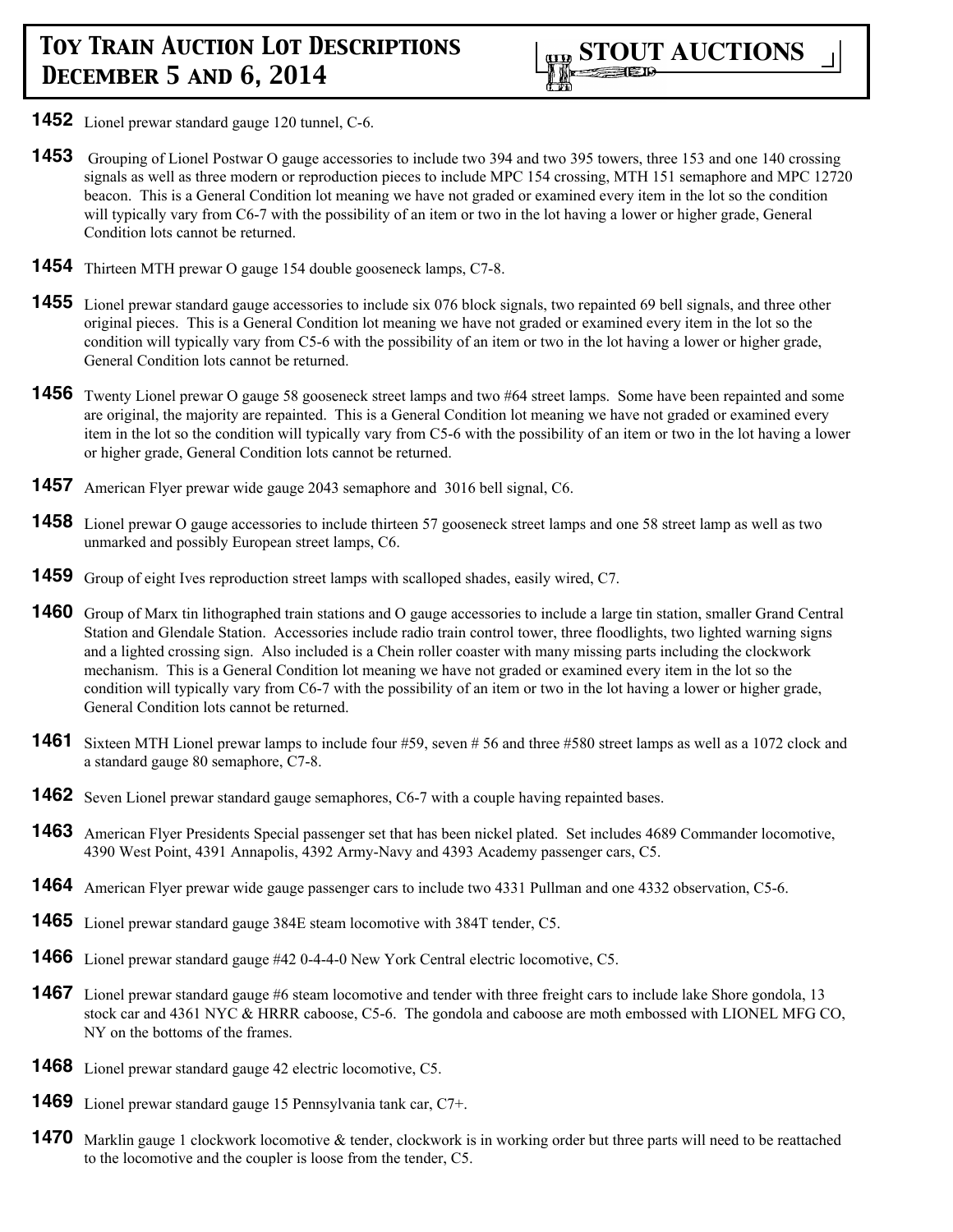

- **1452** Lionel prewar standard gauge 120 tunnel, C-6.
- **1453** Grouping of Lionel Postwar O gauge accessories to include two 394 and two 395 towers, three 153 and one 140 crossing signals as well as three modern or reproduction pieces to include MPC 154 crossing, MTH 151 semaphore and MPC 12720 beacon. This is a General Condition lot meaning we have not graded or examined every item in the lot so the condition will typically vary from C6-7 with the possibility of an item or two in the lot having a lower or higher grade, General Condition lots cannot be returned.
- **1454** Thirteen MTH prewar O gauge 154 double gooseneck lamps, C7-8.
- **1455** Lionel prewar standard gauge accessories to include six 076 block signals, two repainted 69 bell signals, and three other original pieces. This is a General Condition lot meaning we have not graded or examined every item in the lot so the condition will typically vary from C5-6 with the possibility of an item or two in the lot having a lower or higher grade, General Condition lots cannot be returned.
- **1456** Twenty Lionel prewar O gauge 58 gooseneck street lamps and two #64 street lamps. Some have been repainted and some are original, the majority are repainted. This is a General Condition lot meaning we have not graded or examined every item in the lot so the condition will typically vary from C5-6 with the possibility of an item or two in the lot having a lower or higher grade, General Condition lots cannot be returned.
- **1457** American Flyer prewar wide gauge 2043 semaphore and 3016 bell signal, C6.
- **1458** Lionel prewar O gauge accessories to include thirteen 57 gooseneck street lamps and one 58 street lamp as well as two unmarked and possibly European street lamps, C6.
- **1459** Group of eight Ives reproduction street lamps with scalloped shades, easily wired, C7.
- **1460** Group of Marx tin lithographed train stations and O gauge accessories to include a large tin station, smaller Grand Central Station and Glendale Station. Accessories include radio train control tower, three floodlights, two lighted warning signs and a lighted crossing sign. Also included is a Chein roller coaster with many missing parts including the clockwork mechanism. This is a General Condition lot meaning we have not graded or examined every item in the lot so the condition will typically vary from C6-7 with the possibility of an item or two in the lot having a lower or higher grade, General Condition lots cannot be returned.
- **1461** Sixteen MTH Lionel prewar lamps to include four #59, seven # 56 and three #580 street lamps as well as a 1072 clock and a standard gauge 80 semaphore, C7-8.
- **1462** Seven Lionel prewar standard gauge semaphores, C6-7 with a couple having repainted bases.
- **1463** American Flyer Presidents Special passenger set that has been nickel plated. Set includes 4689 Commander locomotive, 4390 West Point, 4391 Annapolis, 4392 Army-Navy and 4393 Academy passenger cars, C5.
- **1464** American Flyer prewar wide gauge passenger cars to include two 4331 Pullman and one 4332 observation, C5-6.
- **1465** Lionel prewar standard gauge 384E steam locomotive with 384T tender, C5.
- **1466** Lionel prewar standard gauge #42 0-4-4-0 New York Central electric locomotive, C5.
- **1467** Lionel prewar standard gauge #6 steam locomotive and tender with three freight cars to include lake Shore gondola, 13 stock car and 4361 NYC & HRRR caboose, C5-6. The gondola and caboose are moth embossed with LIONEL MFG CO, NY on the bottoms of the frames.
- **1468** Lionel prewar standard gauge 42 electric locomotive, C5.
- **1469** Lionel prewar standard gauge 15 Pennsylvania tank car, C7+.
- **1470** Marklin gauge 1 clockwork locomotive & tender, clockwork is in working order but three parts will need to be reattached to the locomotive and the coupler is loose from the tender, C5.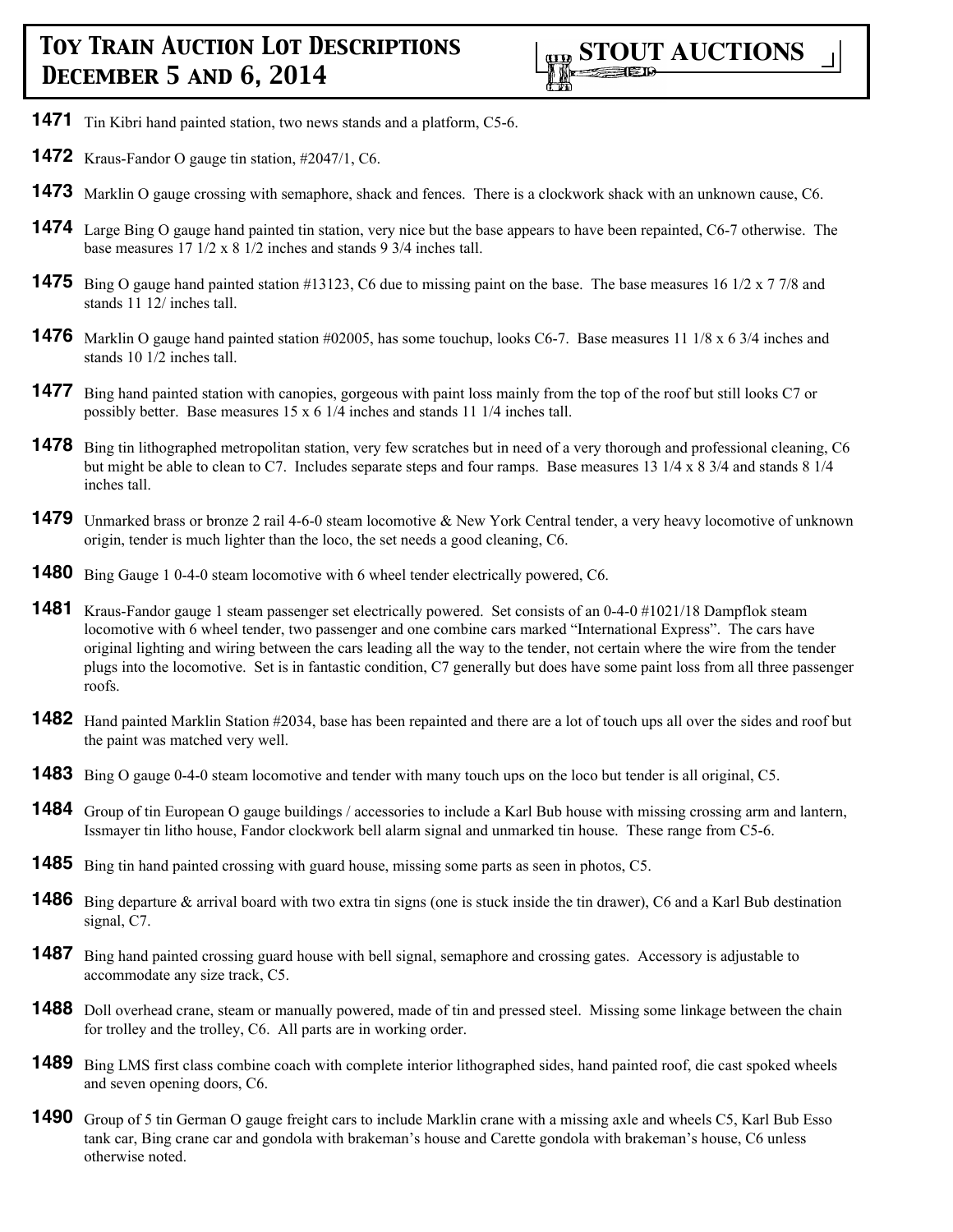- **1471** Tin Kibri hand painted station, two news stands and a platform, C5-6.
- **1472** Kraus-Fandor O gauge tin station, #2047/1, C6.
- **1473** Marklin O gauge crossing with semaphore, shack and fences. There is a clockwork shack with an unknown cause, C6.
- **1474** Large Bing O gauge hand painted tin station, very nice but the base appears to have been repainted, C6-7 otherwise. The base measures 17 1/2 x 8 1/2 inches and stands 9 3/4 inches tall.
- **1475** Bing O gauge hand painted station #13123, C6 due to missing paint on the base. The base measures 16 1/2 x 7 7/8 and stands 11 12/ inches tall.
- **1476** Marklin O gauge hand painted station #02005, has some touchup, looks C6-7. Base measures 11 1/8 x 6 3/4 inches and stands 10 1/2 inches tall.
- **1477** Bing hand painted station with canopies, gorgeous with paint loss mainly from the top of the roof but still looks C7 or possibly better. Base measures 15 x 6 1/4 inches and stands 11 1/4 inches tall.
- **1478** Bing tin lithographed metropolitan station, very few scratches but in need of a very thorough and professional cleaning, C6 but might be able to clean to C7. Includes separate steps and four ramps. Base measures 13 1/4 x 8 3/4 and stands 8 1/4 inches tall.
- **1479** Unmarked brass or bronze 2 rail 4-6-0 steam locomotive & New York Central tender, a very heavy locomotive of unknown origin, tender is much lighter than the loco, the set needs a good cleaning, C6.
- **1480** Bing Gauge 1 0-4-0 steam locomotive with 6 wheel tender electrically powered, C6.
- **1481** Kraus-Fandor gauge 1 steam passenger set electrically powered. Set consists of an 0-4-0 #1021/18 Dampflok steam locomotive with 6 wheel tender, two passenger and one combine cars marked "International Express". The cars have original lighting and wiring between the cars leading all the way to the tender, not certain where the wire from the tender plugs into the locomotive. Set is in fantastic condition, C7 generally but does have some paint loss from all three passenger roofs.
- **1482** Hand painted Marklin Station #2034, base has been repainted and there are a lot of touch ups all over the sides and roof but the paint was matched very well.
- **1483** Bing O gauge 0-4-0 steam locomotive and tender with many touch ups on the loco but tender is all original, C5.
- **1484** Group of tin European O gauge buildings / accessories to include a Karl Bub house with missing crossing arm and lantern, Issmayer tin litho house, Fandor clockwork bell alarm signal and unmarked tin house. These range from C5-6.
- **1485** Bing tin hand painted crossing with guard house, missing some parts as seen in photos, C5.
- **1486** Bing departure & arrival board with two extra tin signs (one is stuck inside the tin drawer), C6 and a Karl Bub destination signal, C7.
- **1487** Bing hand painted crossing guard house with bell signal, semaphore and crossing gates. Accessory is adjustable to accommodate any size track, C5.
- 1488 Doll overhead crane, steam or manually powered, made of tin and pressed steel. Missing some linkage between the chain for trolley and the trolley, C6. All parts are in working order.
- **1489** Bing LMS first class combine coach with complete interior lithographed sides, hand painted roof, die cast spoked wheels and seven opening doors, C6.
- **1490** Group of 5 tin German O gauge freight cars to include Marklin crane with a missing axle and wheels C5, Karl Bub Esso tank car, Bing crane car and gondola with brakeman's house and Carette gondola with brakeman's house, C6 unless otherwise noted.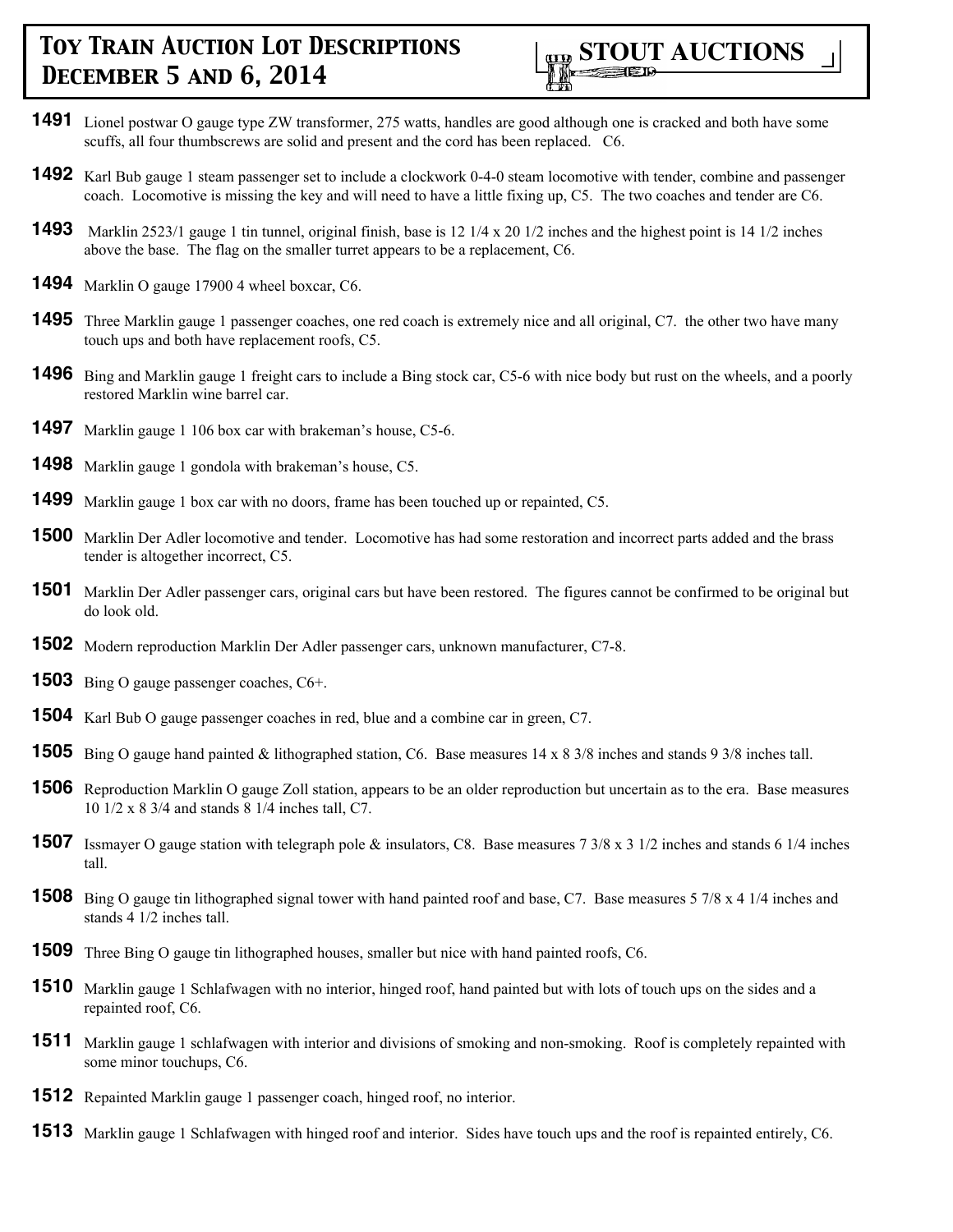

- Lionel postwar O gauge type ZW transformer, 275 watts, handles are good although one is cracked and both have some scuffs, all four thumbscrews are solid and present and the cord has been replaced. C6.
- Karl Bub gauge 1 steam passenger set to include a clockwork 0-4-0 steam locomotive with tender, combine and passenger coach. Locomotive is missing the key and will need to have a little fixing up, C5. The two coaches and tender are C6.
- Marklin 2523/1 gauge 1 tin tunnel, original finish, base is 12 1/4 x 20 1/2 inches and the highest point is 14 1/2 inches above the base. The flag on the smaller turret appears to be a replacement, C6.
- Marklin O gauge 17900 4 wheel boxcar, C6.
- Three Marklin gauge 1 passenger coaches, one red coach is extremely nice and all original, C7. the other two have many touch ups and both have replacement roofs, C5.
- Bing and Marklin gauge 1 freight cars to include a Bing stock car, C5-6 with nice body but rust on the wheels, and a poorly restored Marklin wine barrel car.
- Marklin gauge 1 106 box car with brakeman's house, C5-6.
- Marklin gauge 1 gondola with brakeman's house, C5.
- Marklin gauge 1 box car with no doors, frame has been touched up or repainted, C5.
- Marklin Der Adler locomotive and tender. Locomotive has had some restoration and incorrect parts added and the brass tender is altogether incorrect, C5.
- Marklin Der Adler passenger cars, original cars but have been restored. The figures cannot be confirmed to be original but do look old.
- Modern reproduction Marklin Der Adler passenger cars, unknown manufacturer, C7-8.
- Bing O gauge passenger coaches, C6+.
- Karl Bub O gauge passenger coaches in red, blue and a combine car in green, C7.
- Bing O gauge hand painted & lithographed station, C6. Base measures 14 x 8 3/8 inches and stands 9 3/8 inches tall.
- Reproduction Marklin O gauge Zoll station, appears to be an older reproduction but uncertain as to the era. Base measures 1/2 x 8 3/4 and stands 8 1/4 inches tall, C7.
- Issmayer O gauge station with telegraph pole & insulators, C8. Base measures 7 3/8 x 3 1/2 inches and stands 6 1/4 inches tall.
- Bing O gauge tin lithographed signal tower with hand painted roof and base, C7. Base measures 5 7/8 x 4 1/4 inches and stands 4 1/2 inches tall.
- Three Bing O gauge tin lithographed houses, smaller but nice with hand painted roofs, C6.
- Marklin gauge 1 Schlafwagen with no interior, hinged roof, hand painted but with lots of touch ups on the sides and a repainted roof, C6.
- Marklin gauge 1 schlafwagen with interior and divisions of smoking and non-smoking. Roof is completely repainted with some minor touchups, C6.
- Repainted Marklin gauge 1 passenger coach, hinged roof, no interior.
- Marklin gauge 1 Schlafwagen with hinged roof and interior. Sides have touch ups and the roof is repainted entirely, C6.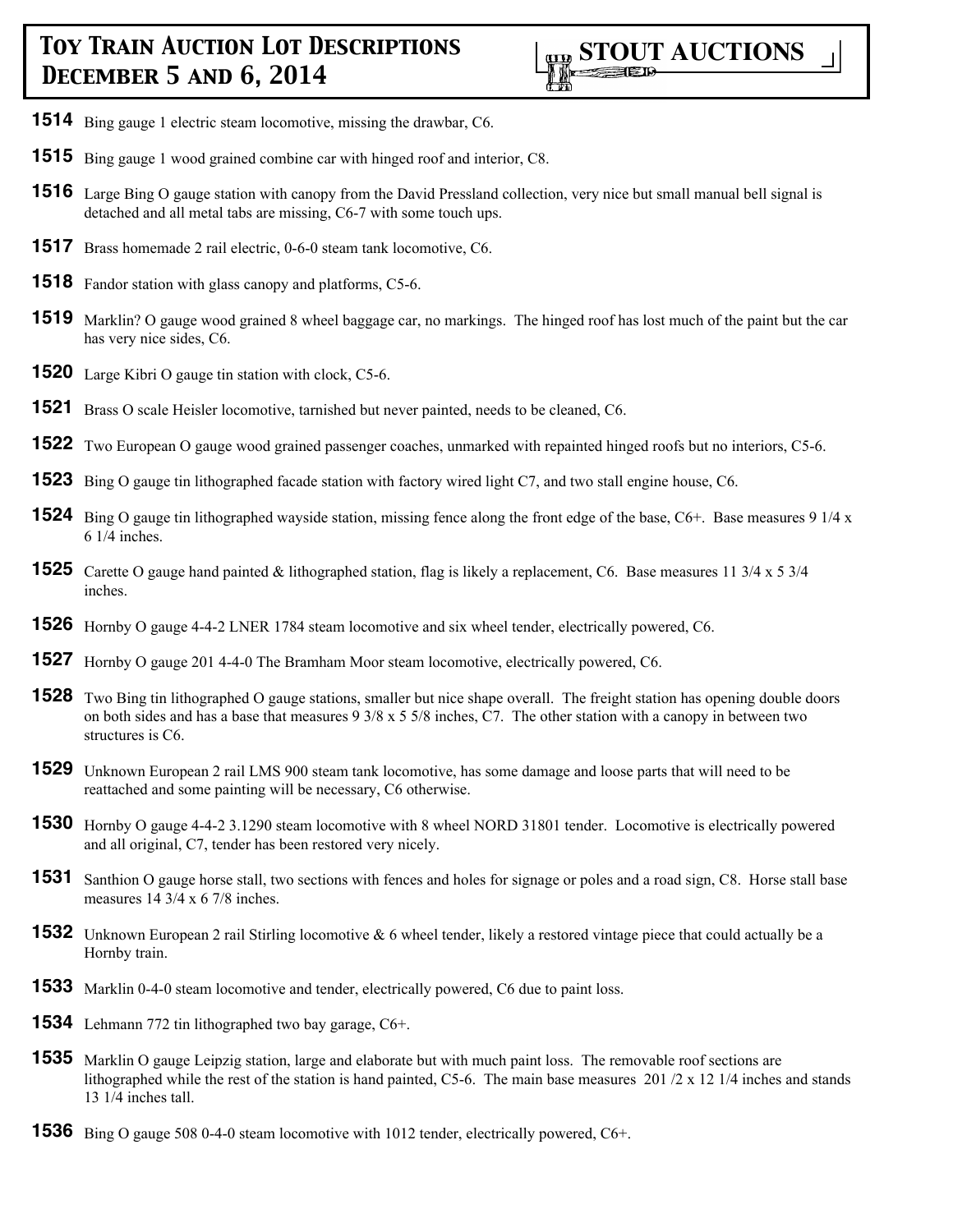

- Bing gauge 1 electric steam locomotive, missing the drawbar, C6.
- Bing gauge 1 wood grained combine car with hinged roof and interior, C8.
- Large Bing O gauge station with canopy from the David Pressland collection, very nice but small manual bell signal is detached and all metal tabs are missing, C6-7 with some touch ups.
- Brass homemade 2 rail electric, 0-6-0 steam tank locomotive, C6.
- Fandor station with glass canopy and platforms, C5-6.
- Marklin? O gauge wood grained 8 wheel baggage car, no markings. The hinged roof has lost much of the paint but the car has very nice sides, C6.
- Large Kibri O gauge tin station with clock, C5-6.
- Brass O scale Heisler locomotive, tarnished but never painted, needs to be cleaned, C6.
- Two European O gauge wood grained passenger coaches, unmarked with repainted hinged roofs but no interiors, C5-6.
- Bing O gauge tin lithographed facade station with factory wired light C7, and two stall engine house, C6.
- Bing O gauge tin lithographed wayside station, missing fence along the front edge of the base, C6+. Base measures 9 1/4 x 1/4 inches.
- Carette O gauge hand painted & lithographed station, flag is likely a replacement, C6. Base measures 11 3/4 x 5 3/4 inches.
- Hornby O gauge 4-4-2 LNER 1784 steam locomotive and six wheel tender, electrically powered, C6.
- Hornby O gauge 201 4-4-0 The Bramham Moor steam locomotive, electrically powered, C6.
- Two Bing tin lithographed O gauge stations, smaller but nice shape overall. The freight station has opening double doors on both sides and has a base that measures 9 3/8 x 5 5/8 inches, C7. The other station with a canopy in between two structures is C6.
- Unknown European 2 rail LMS 900 steam tank locomotive, has some damage and loose parts that will need to be reattached and some painting will be necessary, C6 otherwise.
- Hornby O gauge 4-4-2 3.1290 steam locomotive with 8 wheel NORD 31801 tender. Locomotive is electrically powered and all original, C7, tender has been restored very nicely.
- Santhion O gauge horse stall, two sections with fences and holes for signage or poles and a road sign, C8. Horse stall base measures 14 3/4 x 6 7/8 inches.
- Unknown European 2 rail Stirling locomotive & 6 wheel tender, likely a restored vintage piece that could actually be a Hornby train.
- Marklin 0-4-0 steam locomotive and tender, electrically powered, C6 due to paint loss.
- Lehmann 772 tin lithographed two bay garage, C6+.
- Marklin O gauge Leipzig station, large and elaborate but with much paint loss. The removable roof sections are lithographed while the rest of the station is hand painted, C5-6. The main base measures 201 /2 x 12 1/4 inches and stands 1/4 inches tall.
- Bing O gauge 508 0-4-0 steam locomotive with 1012 tender, electrically powered, C6+.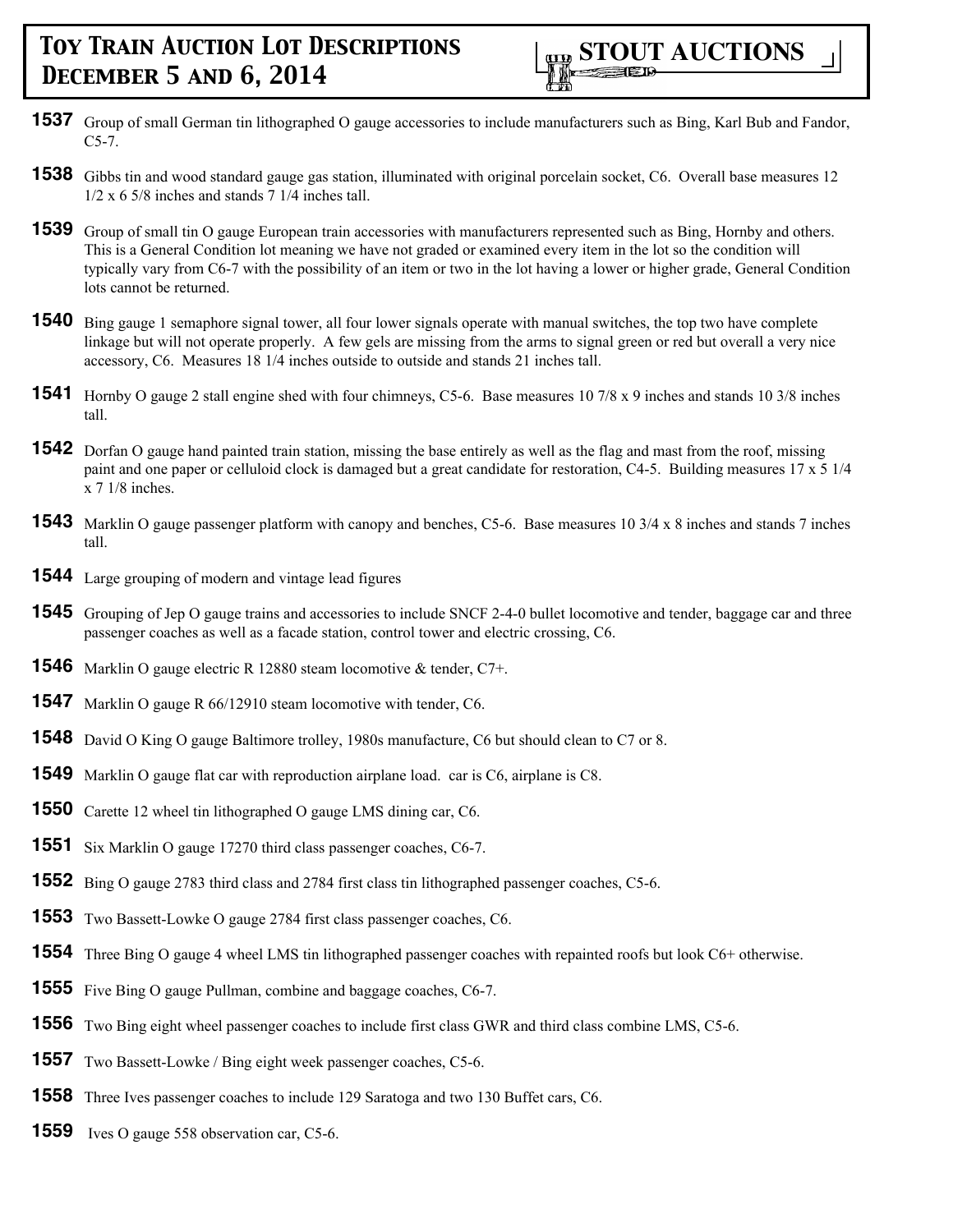

- Group of small German tin lithographed O gauge accessories to include manufacturers such as Bing, Karl Bub and Fandor, C5-7.
- Gibbs tin and wood standard gauge gas station, illuminated with original porcelain socket, C6. Overall base measures 12  $1/2 \times 6$  5/8 inches and stands 7 1/4 inches tall.
- Group of small tin O gauge European train accessories with manufacturers represented such as Bing, Hornby and others. This is a General Condition lot meaning we have not graded or examined every item in the lot so the condition will typically vary from C6-7 with the possibility of an item or two in the lot having a lower or higher grade, General Condition lots cannot be returned.
- Bing gauge 1 semaphore signal tower, all four lower signals operate with manual switches, the top two have complete linkage but will not operate properly. A few gels are missing from the arms to signal green or red but overall a very nice accessory, C6. Measures 18 1/4 inches outside to outside and stands 21 inches tall.
- Hornby O gauge 2 stall engine shed with four chimneys, C5-6. Base measures 10 7/8 x 9 inches and stands 10 3/8 inches tall.
- Dorfan O gauge hand painted train station, missing the base entirely as well as the flag and mast from the roof, missing paint and one paper or celluloid clock is damaged but a great candidate for restoration, C4-5. Building measures 17 x 5 1/4 x 7 1/8 inches.
- Marklin O gauge passenger platform with canopy and benches, C5-6. Base measures 10 3/4 x 8 inches and stands 7 inches tall.
- Large grouping of modern and vintage lead figures
- Grouping of Jep O gauge trains and accessories to include SNCF 2-4-0 bullet locomotive and tender, baggage car and three passenger coaches as well as a facade station, control tower and electric crossing, C6.
- Marklin O gauge electric R 12880 steam locomotive & tender, C7+.
- Marklin O gauge R 66/12910 steam locomotive with tender, C6.
- David O King O gauge Baltimore trolley, 1980s manufacture, C6 but should clean to C7 or 8.
- Marklin O gauge flat car with reproduction airplane load. car is C6, airplane is C8.
- Carette 12 wheel tin lithographed O gauge LMS dining car, C6.
- Six Marklin O gauge 17270 third class passenger coaches, C6-7.
- Bing O gauge 2783 third class and 2784 first class tin lithographed passenger coaches, C5-6.
- Two Bassett-Lowke O gauge 2784 first class passenger coaches, C6.
- Three Bing O gauge 4 wheel LMS tin lithographed passenger coaches with repainted roofs but look C6+ otherwise.
- Five Bing O gauge Pullman, combine and baggage coaches, C6-7.
- Two Bing eight wheel passenger coaches to include first class GWR and third class combine LMS, C5-6.
- Two Bassett-Lowke / Bing eight week passenger coaches, C5-6.
- Three Ives passenger coaches to include 129 Saratoga and two 130 Buffet cars, C6.
- Ives O gauge 558 observation car, C5-6.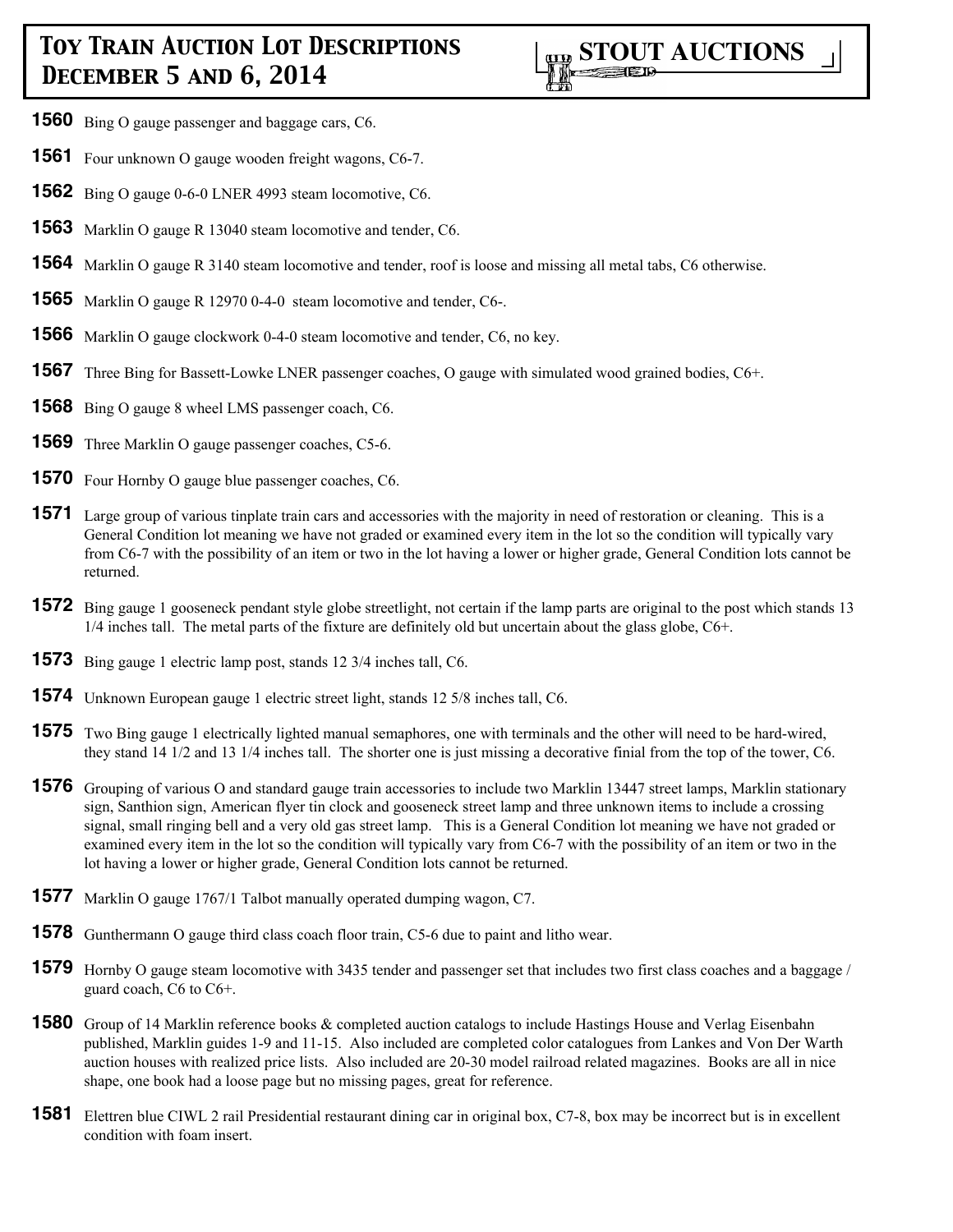- **1560** Bing O gauge passenger and baggage cars, C6.
- **1561** Four unknown O gauge wooden freight wagons, C6-7.
- **1562** Bing O gauge 0-6-0 LNER 4993 steam locomotive, C6.
- **1563** Marklin O gauge R 13040 steam locomotive and tender, C6.
- **1564** Marklin O gauge R 3140 steam locomotive and tender, roof is loose and missing all metal tabs, C6 otherwise.
- **1565** Marklin O gauge R 12970 0-4-0 steam locomotive and tender, C6-.
- **1566** Marklin O gauge clockwork 0-4-0 steam locomotive and tender, C6, no key.
- **1567** Three Bing for Bassett-Lowke LNER passenger coaches, O gauge with simulated wood grained bodies, C6+.
- **1568** Bing O gauge 8 wheel LMS passenger coach, C6.
- **1569** Three Marklin O gauge passenger coaches, C5-6.
- **1570** Four Hornby O gauge blue passenger coaches, C6.
- **1571** Large group of various tinplate train cars and accessories with the majority in need of restoration or cleaning. This is a General Condition lot meaning we have not graded or examined every item in the lot so the condition will typically vary from C6-7 with the possibility of an item or two in the lot having a lower or higher grade, General Condition lots cannot be returned.
- **1572** Bing gauge 1 gooseneck pendant style globe streetlight, not certain if the lamp parts are original to the post which stands 13  $1/4$  inches tall. The metal parts of the fixture are definitely old but uncertain about the glass globe,  $C6<sup>+</sup>$ .
- **1573** Bing gauge 1 electric lamp post, stands 12 3/4 inches tall, C6.
- **1574** Unknown European gauge 1 electric street light, stands 12 5/8 inches tall, C6.
- **1575** Two Bing gauge 1 electrically lighted manual semaphores, one with terminals and the other will need to be hard-wired, they stand 14 1/2 and 13 1/4 inches tall. The shorter one is just missing a decorative finial from the top of the tower, C6.
- **1576** Grouping of various O and standard gauge train accessories to include two Marklin 13447 street lamps, Marklin stationary sign, Santhion sign, American flyer tin clock and gooseneck street lamp and three unknown items to include a crossing signal, small ringing bell and a very old gas street lamp. This is a General Condition lot meaning we have not graded or examined every item in the lot so the condition will typically vary from C6-7 with the possibility of an item or two in the lot having a lower or higher grade, General Condition lots cannot be returned.
- **1577** Marklin O gauge 1767/1 Talbot manually operated dumping wagon, C7.
- **1578** Gunthermann O gauge third class coach floor train, C5-6 due to paint and litho wear.
- **1579** Hornby O gauge steam locomotive with 3435 tender and passenger set that includes two first class coaches and a baggage / guard coach, C6 to C6+.
- **1580** Group of 14 Marklin reference books & completed auction catalogs to include Hastings House and Verlag Eisenbahn published, Marklin guides 1-9 and 11-15. Also included are completed color catalogues from Lankes and Von Der Warth auction houses with realized price lists. Also included are 20-30 model railroad related magazines. Books are all in nice shape, one book had a loose page but no missing pages, great for reference.
- **1581** Elettren blue CIWL 2 rail Presidential restaurant dining car in original box, C7-8, box may be incorrect but is in excellent condition with foam insert.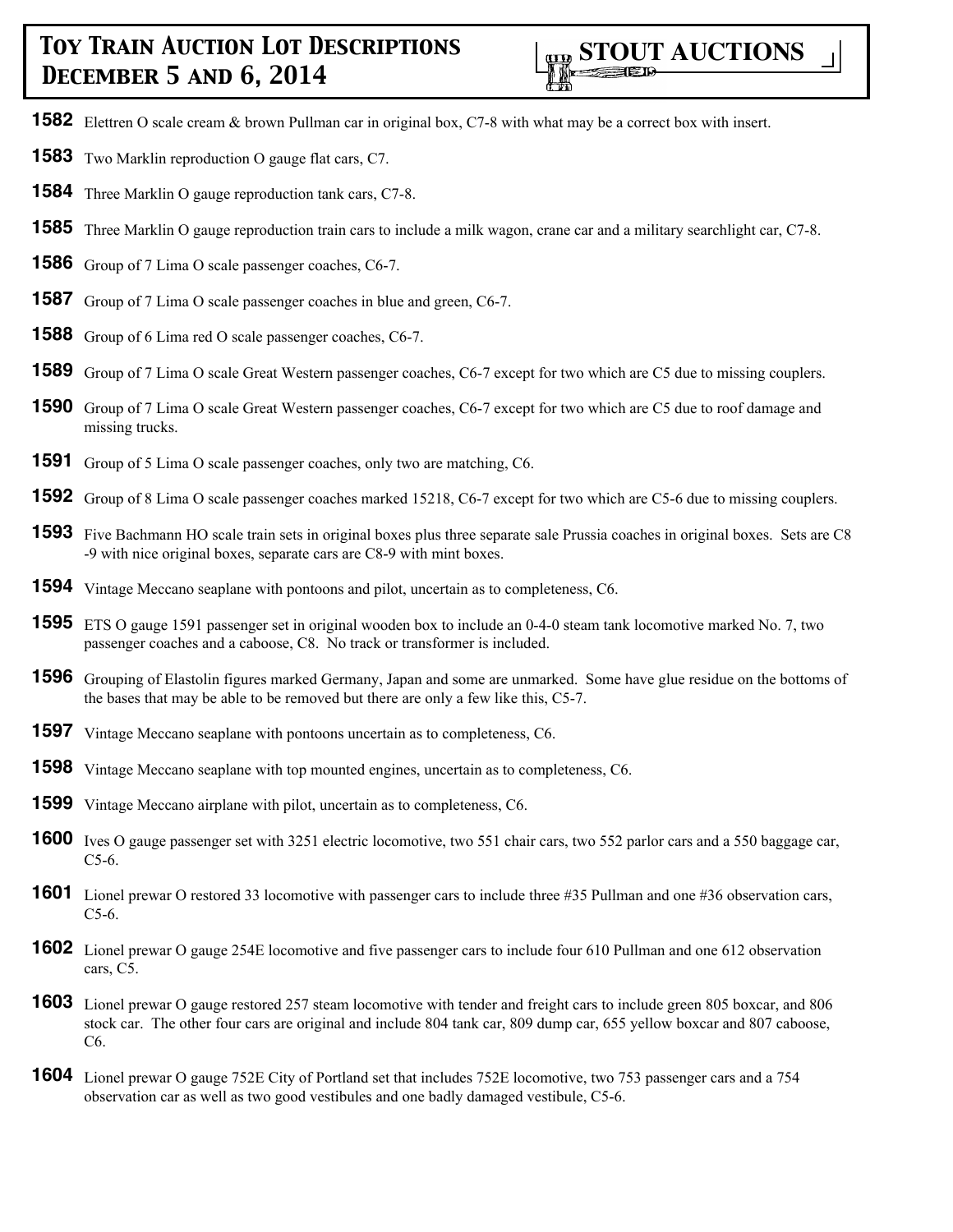- Elettren O scale cream & brown Pullman car in original box, C7-8 with what may be a correct box with insert.
- Two Marklin reproduction O gauge flat cars, C7.
- Three Marklin O gauge reproduction tank cars, C7-8.
- Three Marklin O gauge reproduction train cars to include a milk wagon, crane car and a military searchlight car, C7-8.
- Group of 7 Lima O scale passenger coaches, C6-7.
- Group of 7 Lima O scale passenger coaches in blue and green, C6-7.
- Group of 6 Lima red O scale passenger coaches, C6-7.
- Group of 7 Lima O scale Great Western passenger coaches, C6-7 except for two which are C5 due to missing couplers.
- Group of 7 Lima O scale Great Western passenger coaches, C6-7 except for two which are C5 due to roof damage and missing trucks.
- Group of 5 Lima O scale passenger coaches, only two are matching, C6.
- Group of 8 Lima O scale passenger coaches marked 15218, C6-7 except for two which are C5-6 due to missing couplers.
- Five Bachmann HO scale train sets in original boxes plus three separate sale Prussia coaches in original boxes. Sets are C8 -9 with nice original boxes, separate cars are C8-9 with mint boxes.
- Vintage Meccano seaplane with pontoons and pilot, uncertain as to completeness, C6.
- ETS O gauge 1591 passenger set in original wooden box to include an 0-4-0 steam tank locomotive marked No. 7, two passenger coaches and a caboose, C8. No track or transformer is included.
- Grouping of Elastolin figures marked Germany, Japan and some are unmarked. Some have glue residue on the bottoms of the bases that may be able to be removed but there are only a few like this, C5-7.
- Vintage Meccano seaplane with pontoons uncertain as to completeness, C6.
- Vintage Meccano seaplane with top mounted engines, uncertain as to completeness, C6.
- Vintage Meccano airplane with pilot, uncertain as to completeness, C6.
- Ives O gauge passenger set with 3251 electric locomotive, two 551 chair cars, two 552 parlor cars and a 550 baggage car, C5-6.
- Lionel prewar O restored 33 locomotive with passenger cars to include three #35 Pullman and one #36 observation cars, C5-6.
- Lionel prewar O gauge 254E locomotive and five passenger cars to include four 610 Pullman and one 612 observation cars, C5.
- Lionel prewar O gauge restored 257 steam locomotive with tender and freight cars to include green 805 boxcar, and 806 stock car. The other four cars are original and include 804 tank car, 809 dump car, 655 yellow boxcar and 807 caboose, C6.
- Lionel prewar O gauge 752E City of Portland set that includes 752E locomotive, two 753 passenger cars and a 754 observation car as well as two good vestibules and one badly damaged vestibule, C5-6.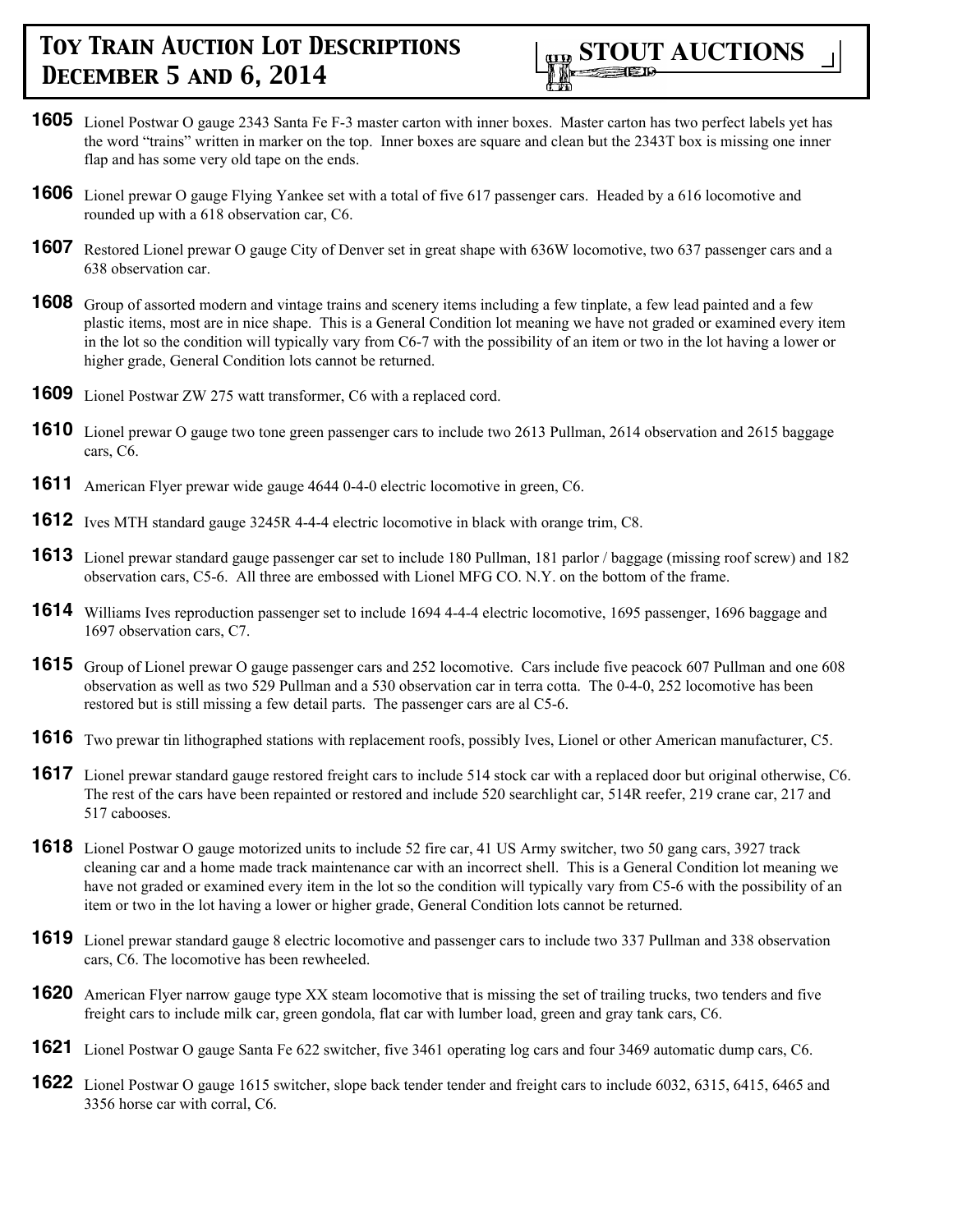

- **1605** Lionel Postwar O gauge 2343 Santa Fe F-3 master carton with inner boxes. Master carton has two perfect labels yet has the word "trains" written in marker on the top. Inner boxes are square and clean but the 2343T box is missing one inner flap and has some very old tape on the ends.
- **1606** Lionel prewar O gauge Flying Yankee set with a total of five 617 passenger cars. Headed by a 616 locomotive and rounded up with a 618 observation car, C6.
- **1607** Restored Lionel prewar O gauge City of Denver set in great shape with 636W locomotive, two 637 passenger cars and a 638 observation car.
- **1608** Group of assorted modern and vintage trains and scenery items including a few tinplate, a few lead painted and a few plastic items, most are in nice shape. This is a General Condition lot meaning we have not graded or examined every item in the lot so the condition will typically vary from C6-7 with the possibility of an item or two in the lot having a lower or higher grade, General Condition lots cannot be returned.
- **1609** Lionel Postwar ZW 275 watt transformer, C6 with a replaced cord.
- **1610** Lionel prewar O gauge two tone green passenger cars to include two 2613 Pullman, 2614 observation and 2615 baggage cars, C6.
- **1611** American Flyer prewar wide gauge 4644 0-4-0 electric locomotive in green, C6.
- **1612** Ives MTH standard gauge 3245R 4-4-4 electric locomotive in black with orange trim, C8.
- **1613** Lionel prewar standard gauge passenger car set to include 180 Pullman, 181 parlor / baggage (missing roof screw) and 182 observation cars, C5-6. All three are embossed with Lionel MFG CO. N.Y. on the bottom of the frame.
- **1614** Williams Ives reproduction passenger set to include 1694 4-4-4 electric locomotive, 1695 passenger, 1696 baggage and 1697 observation cars, C7.
- **1615** Group of Lionel prewar O gauge passenger cars and 252 locomotive. Cars include five peacock 607 Pullman and one 608 observation as well as two 529 Pullman and a 530 observation car in terra cotta. The 0-4-0, 252 locomotive has been restored but is still missing a few detail parts. The passenger cars are al C5-6.
- **1616** Two prewar tin lithographed stations with replacement roofs, possibly Ives, Lionel or other American manufacturer, C5.
- **1617** Lionel prewar standard gauge restored freight cars to include 514 stock car with a replaced door but original otherwise, C6. The rest of the cars have been repainted or restored and include 520 searchlight car, 514R reefer, 219 crane car, 217 and 517 cabooses.
- **1618** Lionel Postwar O gauge motorized units to include 52 fire car, 41 US Army switcher, two 50 gang cars, 3927 track cleaning car and a home made track maintenance car with an incorrect shell. This is a General Condition lot meaning we have not graded or examined every item in the lot so the condition will typically vary from C5-6 with the possibility of an item or two in the lot having a lower or higher grade, General Condition lots cannot be returned.
- **1619** Lionel prewar standard gauge 8 electric locomotive and passenger cars to include two 337 Pullman and 338 observation cars, C6. The locomotive has been rewheeled.
- **1620** American Flyer narrow gauge type XX steam locomotive that is missing the set of trailing trucks, two tenders and five freight cars to include milk car, green gondola, flat car with lumber load, green and gray tank cars, C6.
- **1621** Lionel Postwar O gauge Santa Fe 622 switcher, five 3461 operating log cars and four 3469 automatic dump cars, C6.
- **1622** Lionel Postwar O gauge 1615 switcher, slope back tender tender and freight cars to include 6032, 6315, 6415, 6465 and 3356 horse car with corral, C6.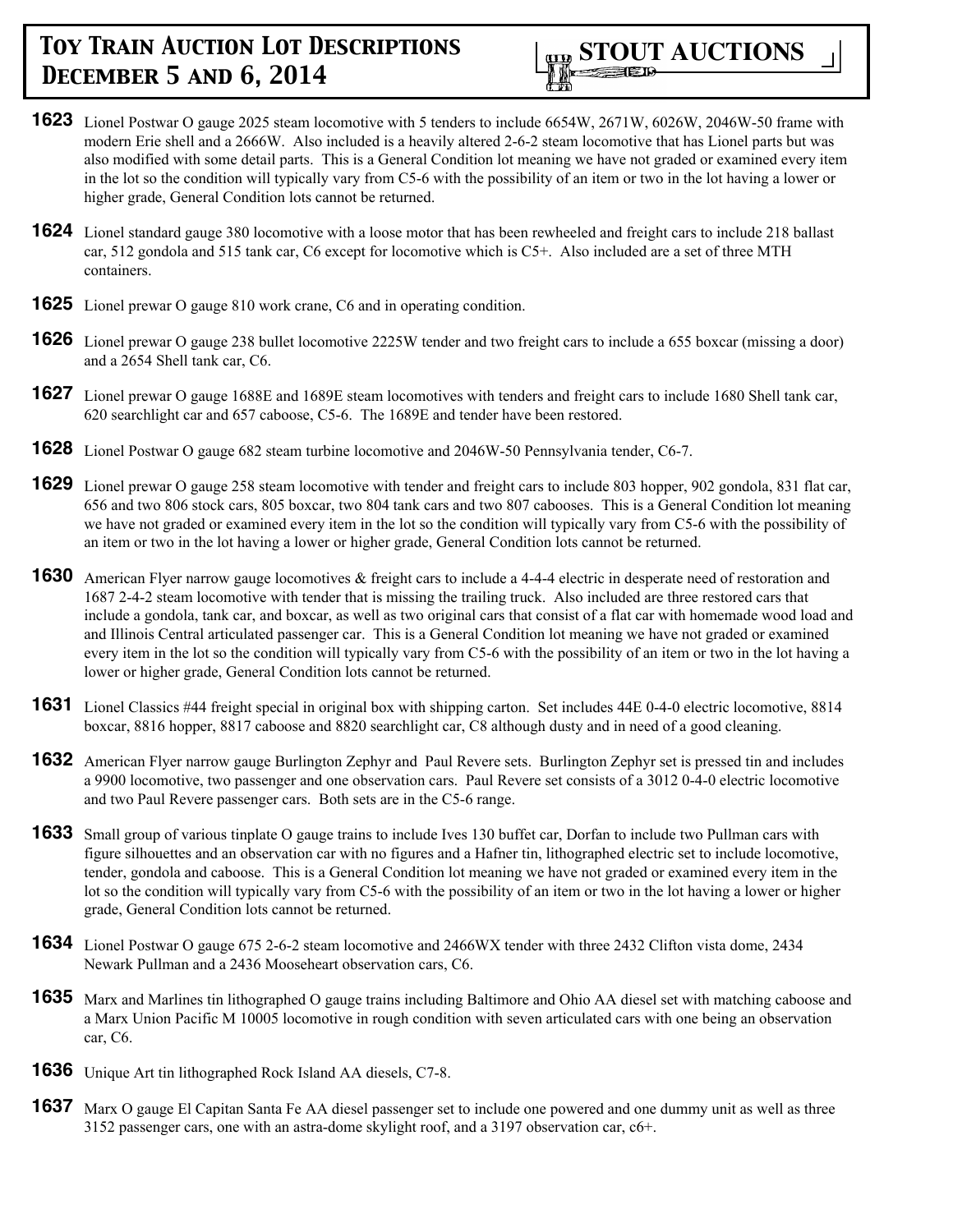

- **1623** Lionel Postwar O gauge 2025 steam locomotive with 5 tenders to include 6654W, 2671W, 6026W, 2046W-50 frame with modern Erie shell and a 2666W. Also included is a heavily altered 2-6-2 steam locomotive that has Lionel parts but was also modified with some detail parts. This is a General Condition lot meaning we have not graded or examined every item in the lot so the condition will typically vary from C5-6 with the possibility of an item or two in the lot having a lower or higher grade, General Condition lots cannot be returned.
- **1624** Lionel standard gauge 380 locomotive with a loose motor that has been rewheeled and freight cars to include 218 ballast car, 512 gondola and 515 tank car, C6 except for locomotive which is C5+. Also included are a set of three MTH containers.
- **1625** Lionel prewar O gauge 810 work crane, C6 and in operating condition.
- **1626** Lionel prewar O gauge 238 bullet locomotive 2225W tender and two freight cars to include a 655 boxcar (missing a door) and a 2654 Shell tank car, C6.
- **1627** Lionel prewar O gauge 1688E and 1689E steam locomotives with tenders and freight cars to include 1680 Shell tank car, 620 searchlight car and 657 caboose, C5-6. The 1689E and tender have been restored.
- **1628** Lionel Postwar O gauge 682 steam turbine locomotive and 2046W-50 Pennsylvania tender, C6-7.
- **1629** Lionel prewar O gauge 258 steam locomotive with tender and freight cars to include 803 hopper, 902 gondola, 831 flat car, 656 and two 806 stock cars, 805 boxcar, two 804 tank cars and two 807 cabooses. This is a General Condition lot meaning we have not graded or examined every item in the lot so the condition will typically vary from C5-6 with the possibility of an item or two in the lot having a lower or higher grade, General Condition lots cannot be returned.
- **1630** American Flyer narrow gauge locomotives & freight cars to include a 4-4-4 electric in desperate need of restoration and 1687 2-4-2 steam locomotive with tender that is missing the trailing truck. Also included are three restored cars that include a gondola, tank car, and boxcar, as well as two original cars that consist of a flat car with homemade wood load and and Illinois Central articulated passenger car. This is a General Condition lot meaning we have not graded or examined every item in the lot so the condition will typically vary from C5-6 with the possibility of an item or two in the lot having a lower or higher grade, General Condition lots cannot be returned.
- **1631** Lionel Classics #44 freight special in original box with shipping carton. Set includes 44E 0-4-0 electric locomotive, 8814 boxcar, 8816 hopper, 8817 caboose and 8820 searchlight car, C8 although dusty and in need of a good cleaning.
- **1632** American Flyer narrow gauge Burlington Zephyr and Paul Revere sets. Burlington Zephyr set is pressed tin and includes a 9900 locomotive, two passenger and one observation cars. Paul Revere set consists of a 3012 0-4-0 electric locomotive and two Paul Revere passenger cars. Both sets are in the C5-6 range.
- **1633** Small group of various tinplate O gauge trains to include Ives 130 buffet car, Dorfan to include two Pullman cars with figure silhouettes and an observation car with no figures and a Hafner tin, lithographed electric set to include locomotive, tender, gondola and caboose. This is a General Condition lot meaning we have not graded or examined every item in the lot so the condition will typically vary from C5-6 with the possibility of an item or two in the lot having a lower or higher grade, General Condition lots cannot be returned.
- **1634** Lionel Postwar O gauge 675 2-6-2 steam locomotive and 2466WX tender with three 2432 Clifton vista dome, 2434 Newark Pullman and a 2436 Mooseheart observation cars, C6.
- **1635** Marx and Marlines tin lithographed O gauge trains including Baltimore and Ohio AA diesel set with matching caboose and a Marx Union Pacific M 10005 locomotive in rough condition with seven articulated cars with one being an observation car, C6.
- **1636** Unique Art tin lithographed Rock Island AA diesels, C7-8.
- **1637** Marx O gauge El Capitan Santa Fe AA diesel passenger set to include one powered and one dummy unit as well as three 3152 passenger cars, one with an astra-dome skylight roof, and a 3197 observation car, c6+.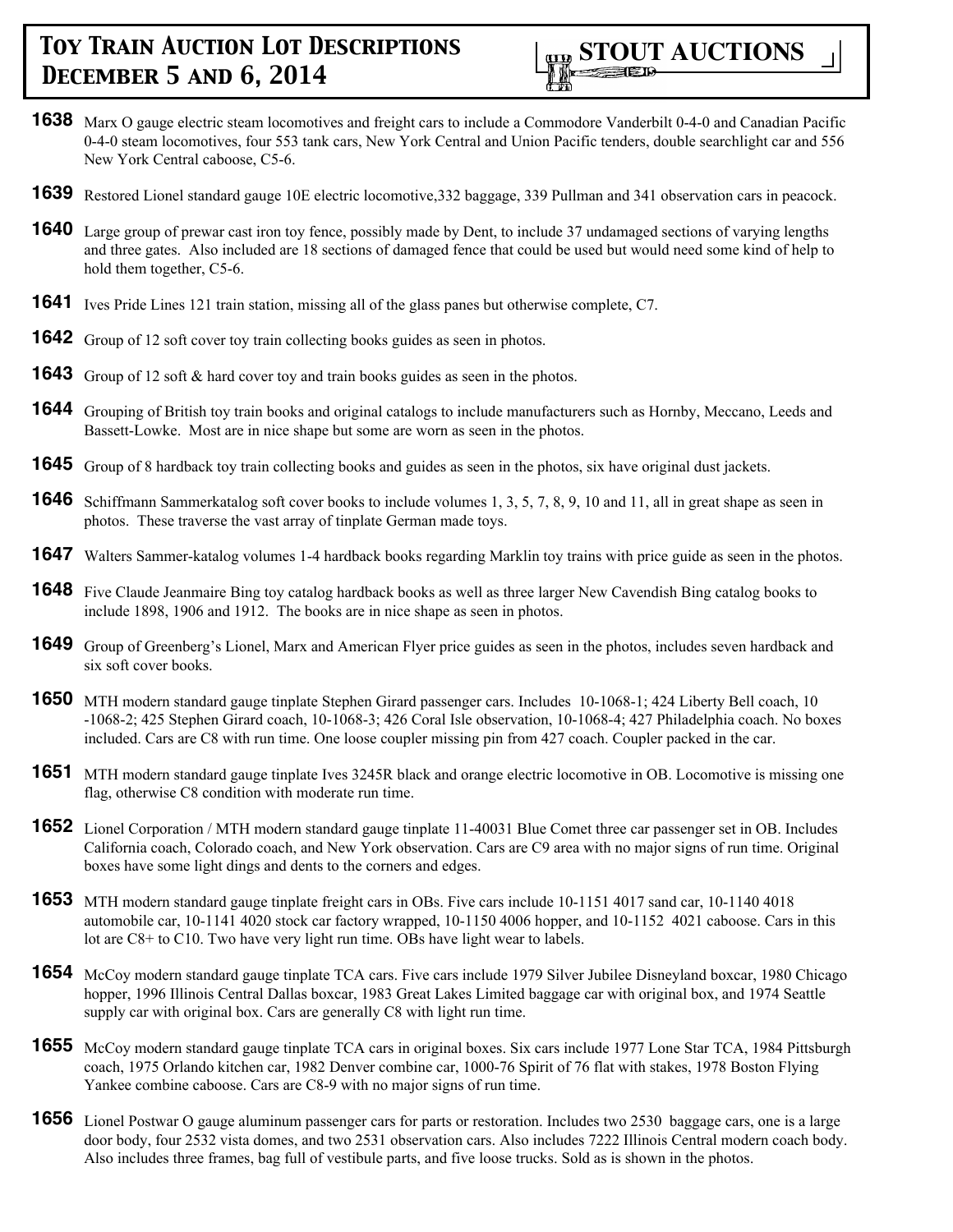

- **1638** Marx O gauge electric steam locomotives and freight cars to include a Commodore Vanderbilt 0-4-0 and Canadian Pacific 0-4-0 steam locomotives, four 553 tank cars, New York Central and Union Pacific tenders, double searchlight car and 556 New York Central caboose, C5-6.
- **1639** Restored Lionel standard gauge 10E electric locomotive,332 baggage, 339 Pullman and 341 observation cars in peacock.
- **1640** Large group of prewar cast iron toy fence, possibly made by Dent, to include 37 undamaged sections of varying lengths and three gates. Also included are 18 sections of damaged fence that could be used but would need some kind of help to hold them together, C5-6.
- **1641** Ives Pride Lines 121 train station, missing all of the glass panes but otherwise complete, C7.
- **1642** Group of 12 soft cover toy train collecting books guides as seen in photos.
- **1643** Group of 12 soft & hard cover toy and train books guides as seen in the photos.
- **1644** Grouping of British toy train books and original catalogs to include manufacturers such as Hornby, Meccano, Leeds and Bassett-Lowke. Most are in nice shape but some are worn as seen in the photos.
- **1645** Group of 8 hardback toy train collecting books and guides as seen in the photos, six have original dust jackets.
- **1646** Schiffmann Sammerkatalog soft cover books to include volumes 1, 3, 5, 7, 8, 9, 10 and 11, all in great shape as seen in photos. These traverse the vast array of tinplate German made toys.
- **1647** Walters Sammer-katalog volumes 1-4 hardback books regarding Marklin toy trains with price guide as seen in the photos.
- **1648** Five Claude Jeanmaire Bing toy catalog hardback books as well as three larger New Cavendish Bing catalog books to include 1898, 1906 and 1912. The books are in nice shape as seen in photos.
- **1649** Group of Greenberg's Lionel, Marx and American Flyer price guides as seen in the photos, includes seven hardback and six soft cover books.
- **1650** MTH modern standard gauge tinplate Stephen Girard passenger cars. Includes 10-1068-1; 424 Liberty Bell coach, 10 -1068-2; 425 Stephen Girard coach, 10-1068-3; 426 Coral Isle observation, 10-1068-4; 427 Philadelphia coach. No boxes included. Cars are C8 with run time. One loose coupler missing pin from 427 coach. Coupler packed in the car.
- **1651** MTH modern standard gauge tinplate Ives 3245R black and orange electric locomotive in OB. Locomotive is missing one flag, otherwise C8 condition with moderate run time.
- **1652** Lionel Corporation / MTH modern standard gauge tinplate 11-40031 Blue Comet three car passenger set in OB. Includes California coach, Colorado coach, and New York observation. Cars are C9 area with no major signs of run time. Original boxes have some light dings and dents to the corners and edges.
- **1653** MTH modern standard gauge tinplate freight cars in OBs. Five cars include 10-1151 4017 sand car, 10-1140 4018 automobile car, 10-1141 4020 stock car factory wrapped, 10-1150 4006 hopper, and 10-1152 4021 caboose. Cars in this lot are C8+ to C10. Two have very light run time. OBs have light wear to labels.
- **1654** McCoy modern standard gauge tinplate TCA cars. Five cars include 1979 Silver Jubilee Disneyland boxcar, 1980 Chicago hopper, 1996 Illinois Central Dallas boxcar, 1983 Great Lakes Limited baggage car with original box, and 1974 Seattle supply car with original box. Cars are generally C8 with light run time.
- **1655** McCoy modern standard gauge tinplate TCA cars in original boxes. Six cars include 1977 Lone Star TCA, 1984 Pittsburgh coach, 1975 Orlando kitchen car, 1982 Denver combine car, 1000-76 Spirit of 76 flat with stakes, 1978 Boston Flying Yankee combine caboose. Cars are C8-9 with no major signs of run time.
- **1656** Lionel Postwar O gauge aluminum passenger cars for parts or restoration. Includes two 2530 baggage cars, one is a large door body, four 2532 vista domes, and two 2531 observation cars. Also includes 7222 Illinois Central modern coach body. Also includes three frames, bag full of vestibule parts, and five loose trucks. Sold as is shown in the photos.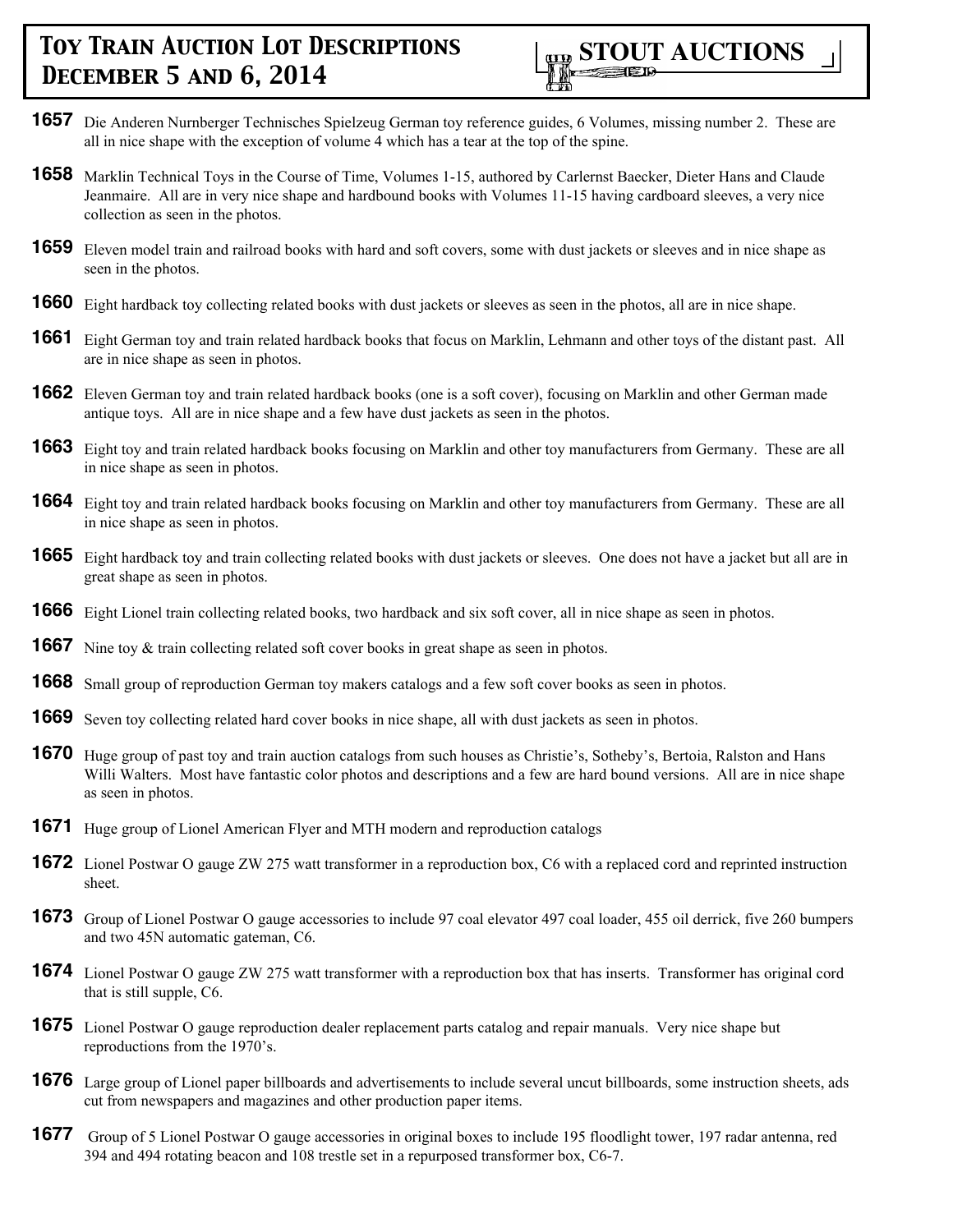

- **1657** Die Anderen Nurnberger Technisches Spielzeug German toy reference guides, 6 Volumes, missing number 2. These are all in nice shape with the exception of volume 4 which has a tear at the top of the spine.
- **1658** Marklin Technical Toys in the Course of Time, Volumes 1-15, authored by Carlernst Baecker, Dieter Hans and Claude Jeanmaire. All are in very nice shape and hardbound books with Volumes 11-15 having cardboard sleeves, a very nice collection as seen in the photos.
- **1659** Eleven model train and railroad books with hard and soft covers, some with dust jackets or sleeves and in nice shape as seen in the photos.
- **1660** Eight hardback toy collecting related books with dust jackets or sleeves as seen in the photos, all are in nice shape.
- **1661** Eight German toy and train related hardback books that focus on Marklin, Lehmann and other toys of the distant past. All are in nice shape as seen in photos.
- **1662** Eleven German toy and train related hardback books (one is a soft cover), focusing on Marklin and other German made antique toys. All are in nice shape and a few have dust jackets as seen in the photos.
- **1663** Eight toy and train related hardback books focusing on Marklin and other toy manufacturers from Germany. These are all in nice shape as seen in photos.
- **1664** Eight toy and train related hardback books focusing on Marklin and other toy manufacturers from Germany. These are all in nice shape as seen in photos.
- **1665** Eight hardback toy and train collecting related books with dust jackets or sleeves. One does not have a jacket but all are in great shape as seen in photos.
- **1666** Eight Lionel train collecting related books, two hardback and six soft cover, all in nice shape as seen in photos.
- **1667** Nine toy & train collecting related soft cover books in great shape as seen in photos.
- **1668** Small group of reproduction German toy makers catalogs and a few soft cover books as seen in photos.
- **1669** Seven toy collecting related hard cover books in nice shape, all with dust jackets as seen in photos.
- **1670** Huge group of past toy and train auction catalogs from such houses as Christie's, Sotheby's, Bertoia, Ralston and Hans Willi Walters. Most have fantastic color photos and descriptions and a few are hard bound versions. All are in nice shape as seen in photos.
- **1671** Huge group of Lionel American Flyer and MTH modern and reproduction catalogs
- **1672** Lionel Postwar O gauge ZW 275 watt transformer in a reproduction box, C6 with a replaced cord and reprinted instruction sheet.
- **1673** Group of Lionel Postwar O gauge accessories to include 97 coal elevator 497 coal loader, 455 oil derrick, five 260 bumpers and two 45N automatic gateman, C6.
- **1674** Lionel Postwar O gauge ZW 275 watt transformer with a reproduction box that has inserts. Transformer has original cord that is still supple, C6.
- **1675** Lionel Postwar O gauge reproduction dealer replacement parts catalog and repair manuals. Very nice shape but reproductions from the 1970's.
- **1676** Large group of Lionel paper billboards and advertisements to include several uncut billboards, some instruction sheets, ads cut from newspapers and magazines and other production paper items.
- **1677** Group of 5 Lionel Postwar O gauge accessories in original boxes to include 195 floodlight tower, 197 radar antenna, red 394 and 494 rotating beacon and 108 trestle set in a repurposed transformer box, C6-7.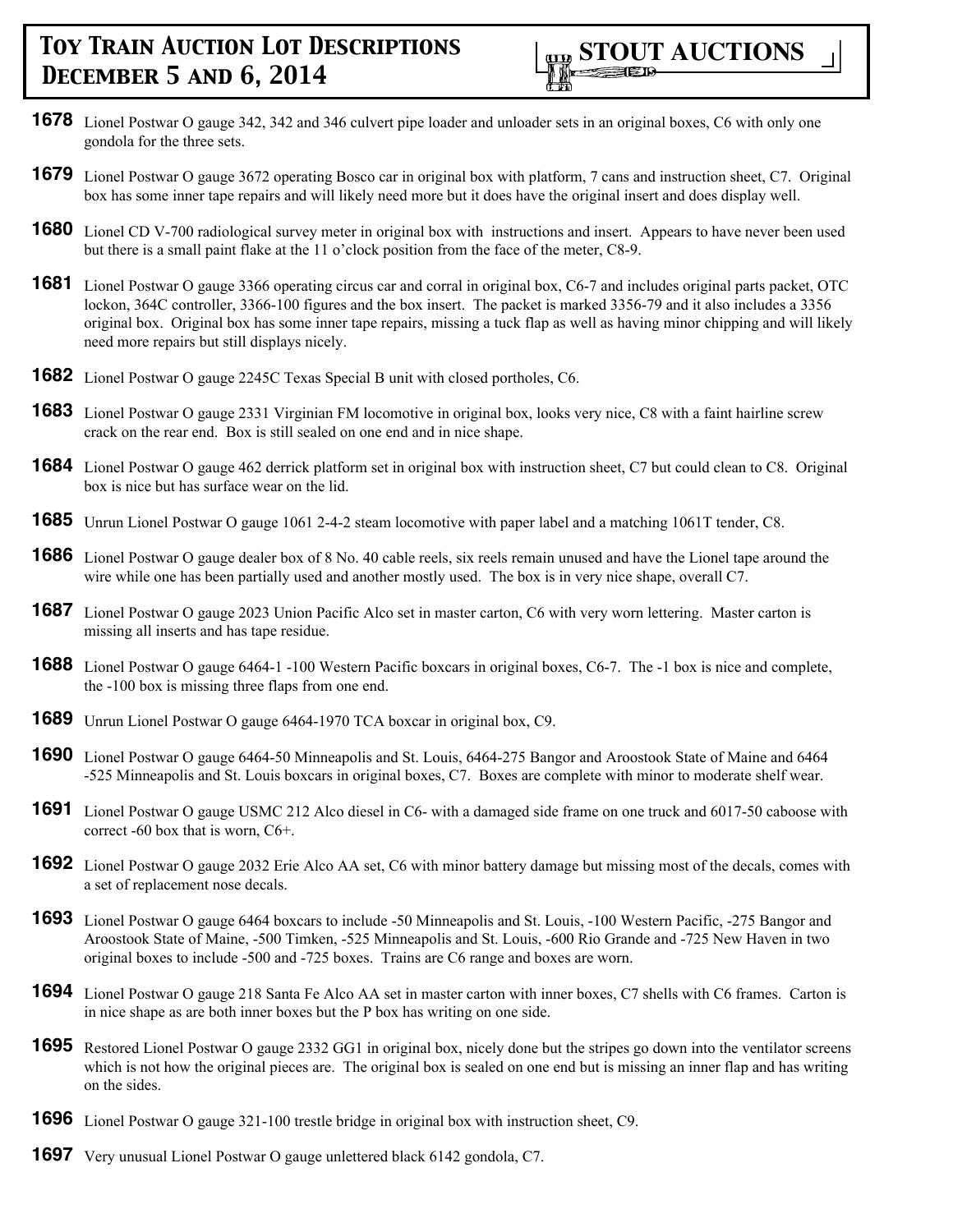- **1678** Lionel Postwar O gauge 342, 342 and 346 culvert pipe loader and unloader sets in an original boxes, C6 with only one gondola for the three sets.
- **1679** Lionel Postwar O gauge 3672 operating Bosco car in original box with platform, 7 cans and instruction sheet, C7. Original box has some inner tape repairs and will likely need more but it does have the original insert and does display well.
- **1680** Lionel CD V-700 radiological survey meter in original box with instructions and insert. Appears to have never been used but there is a small paint flake at the 11 o'clock position from the face of the meter, C8-9.
- **1681** Lionel Postwar O gauge 3366 operating circus car and corral in original box, C6-7 and includes original parts packet, OTC lockon, 364C controller, 3366-100 figures and the box insert. The packet is marked 3356-79 and it also includes a 3356 original box. Original box has some inner tape repairs, missing a tuck flap as well as having minor chipping and will likely need more repairs but still displays nicely.
- **1682** Lionel Postwar O gauge 2245C Texas Special B unit with closed portholes, C6.
- **1683** Lionel Postwar O gauge 2331 Virginian FM locomotive in original box, looks very nice, C8 with a faint hairline screw crack on the rear end. Box is still sealed on one end and in nice shape.
- **1684** Lionel Postwar O gauge 462 derrick platform set in original box with instruction sheet, C7 but could clean to C8. Original box is nice but has surface wear on the lid.
- **1685** Unrun Lionel Postwar O gauge 1061 2-4-2 steam locomotive with paper label and a matching 1061T tender, C8.
- **1686** Lionel Postwar O gauge dealer box of 8 No. 40 cable reels, six reels remain unused and have the Lionel tape around the wire while one has been partially used and another mostly used. The box is in very nice shape, overall C7.
- **1687** Lionel Postwar O gauge 2023 Union Pacific Alco set in master carton, C6 with very worn lettering. Master carton is missing all inserts and has tape residue.
- **1688** Lionel Postwar O gauge 6464-1 -100 Western Pacific boxcars in original boxes, C6-7. The -1 box is nice and complete, the -100 box is missing three flaps from one end.
- **1689** Unrun Lionel Postwar O gauge 6464-1970 TCA boxcar in original box, C9.
- **1690** Lionel Postwar O gauge 6464-50 Minneapolis and St. Louis, 6464-275 Bangor and Aroostook State of Maine and 6464 -525 Minneapolis and St. Louis boxcars in original boxes, C7. Boxes are complete with minor to moderate shelf wear.
- **1691** Lionel Postwar O gauge USMC 212 Alco diesel in C6- with a damaged side frame on one truck and 6017-50 caboose with correct -60 box that is worn, C6+.
- **1692** Lionel Postwar O gauge 2032 Erie Alco AA set, C6 with minor battery damage but missing most of the decals, comes with a set of replacement nose decals.
- **1693** Lionel Postwar O gauge 6464 boxcars to include -50 Minneapolis and St. Louis, -100 Western Pacific, -275 Bangor and Aroostook State of Maine, -500 Timken, -525 Minneapolis and St. Louis, -600 Rio Grande and -725 New Haven in two original boxes to include -500 and -725 boxes. Trains are C6 range and boxes are worn.
- **1694** Lionel Postwar O gauge 218 Santa Fe Alco AA set in master carton with inner boxes, C7 shells with C6 frames. Carton is in nice shape as are both inner boxes but the P box has writing on one side.
- **1695** Restored Lionel Postwar O gauge 2332 GG1 in original box, nicely done but the stripes go down into the ventilator screens which is not how the original pieces are. The original box is sealed on one end but is missing an inner flap and has writing on the sides.
- **1696** Lionel Postwar O gauge 321-100 trestle bridge in original box with instruction sheet, C9.
- **1697** Very unusual Lionel Postwar O gauge unlettered black 6142 gondola, C7.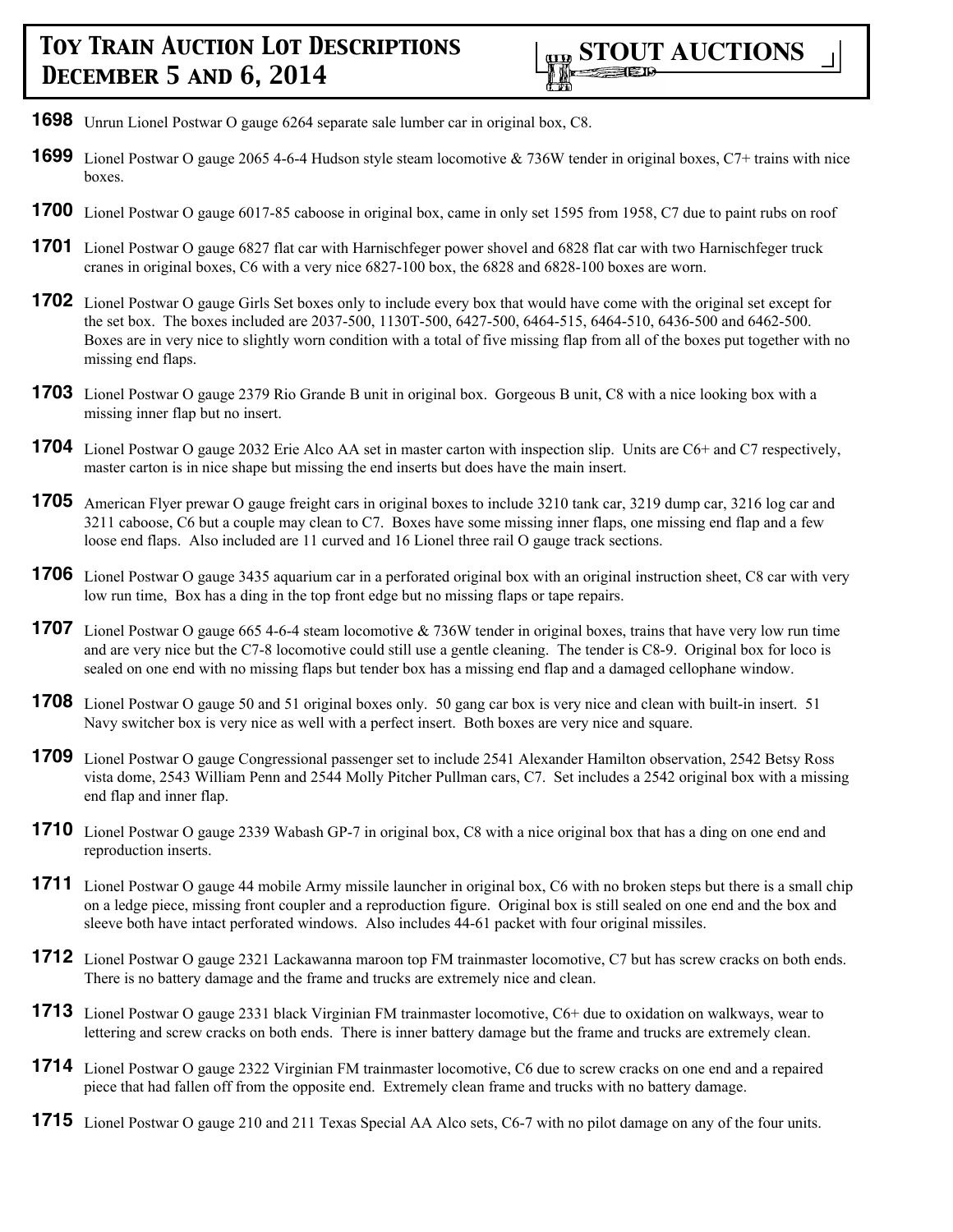- **1698** Unrun Lionel Postwar O gauge 6264 separate sale lumber car in original box, C8.
- **1699** Lionel Postwar O gauge 2065 4-6-4 Hudson style steam locomotive & 736W tender in original boxes, C7+ trains with nice boxes.
- **1700** Lionel Postwar O gauge 6017-85 caboose in original box, came in only set 1595 from 1958, C7 due to paint rubs on roof
- **1701** Lionel Postwar O gauge 6827 flat car with Harnischfeger power shovel and 6828 flat car with two Harnischfeger truck cranes in original boxes, C6 with a very nice 6827-100 box, the 6828 and 6828-100 boxes are worn.
- **1702** Lionel Postwar O gauge Girls Set boxes only to include every box that would have come with the original set except for the set box. The boxes included are 2037-500, 1130T-500, 6427-500, 6464-515, 6464-510, 6436-500 and 6462-500. Boxes are in very nice to slightly worn condition with a total of five missing flap from all of the boxes put together with no missing end flaps.
- **1703** Lionel Postwar O gauge 2379 Rio Grande B unit in original box. Gorgeous B unit, C8 with a nice looking box with a missing inner flap but no insert.
- **1704** Lionel Postwar O gauge 2032 Erie Alco AA set in master carton with inspection slip. Units are C6+ and C7 respectively, master carton is in nice shape but missing the end inserts but does have the main insert.
- **1705** American Flyer prewar O gauge freight cars in original boxes to include 3210 tank car, 3219 dump car, 3216 log car and 3211 caboose, C6 but a couple may clean to C7. Boxes have some missing inner flaps, one missing end flap and a few loose end flaps. Also included are 11 curved and 16 Lionel three rail O gauge track sections.
- **1706** Lionel Postwar O gauge 3435 aquarium car in a perforated original box with an original instruction sheet, C8 car with very low run time, Box has a ding in the top front edge but no missing flaps or tape repairs.
- **1707** Lionel Postwar O gauge 665 4-6-4 steam locomotive & 736W tender in original boxes, trains that have very low run time and are very nice but the C7-8 locomotive could still use a gentle cleaning. The tender is C8-9. Original box for loco is sealed on one end with no missing flaps but tender box has a missing end flap and a damaged cellophane window.
- **1708** Lionel Postwar O gauge 50 and 51 original boxes only. 50 gang car box is very nice and clean with built-in insert. 51 Navy switcher box is very nice as well with a perfect insert. Both boxes are very nice and square.
- **1709** Lionel Postwar O gauge Congressional passenger set to include 2541 Alexander Hamilton observation, 2542 Betsy Ross vista dome, 2543 William Penn and 2544 Molly Pitcher Pullman cars, C7. Set includes a 2542 original box with a missing end flap and inner flap.
- **1710** Lionel Postwar O gauge 2339 Wabash GP-7 in original box, C8 with a nice original box that has a ding on one end and reproduction inserts.
- **1711** Lionel Postwar O gauge 44 mobile Army missile launcher in original box, C6 with no broken steps but there is a small chip on a ledge piece, missing front coupler and a reproduction figure. Original box is still sealed on one end and the box and sleeve both have intact perforated windows. Also includes 44-61 packet with four original missiles.
- **1712** Lionel Postwar O gauge 2321 Lackawanna maroon top FM trainmaster locomotive, C7 but has screw cracks on both ends. There is no battery damage and the frame and trucks are extremely nice and clean.
- **1713** Lionel Postwar O gauge 2331 black Virginian FM trainmaster locomotive, C6+ due to oxidation on walkways, wear to lettering and screw cracks on both ends. There is inner battery damage but the frame and trucks are extremely clean.
- **1714** Lionel Postwar O gauge 2322 Virginian FM trainmaster locomotive, C6 due to screw cracks on one end and a repaired piece that had fallen off from the opposite end. Extremely clean frame and trucks with no battery damage.
- **1715** Lionel Postwar O gauge 210 and 211 Texas Special AA Alco sets, C6-7 with no pilot damage on any of the four units.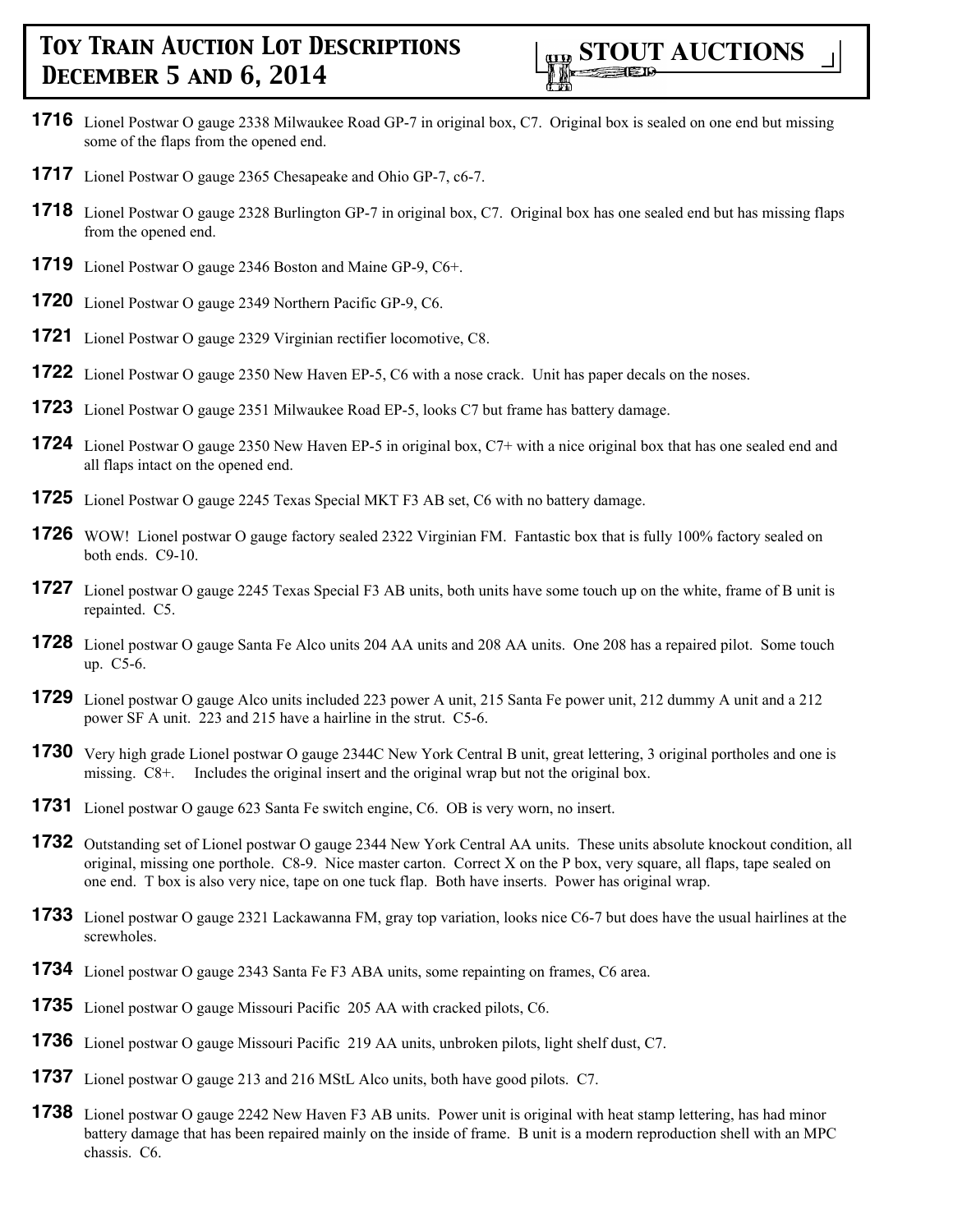

- **1716** Lionel Postwar O gauge 2338 Milwaukee Road GP-7 in original box, C7. Original box is sealed on one end but missing some of the flaps from the opened end.
- **1717** Lionel Postwar O gauge 2365 Chesapeake and Ohio GP-7, c6-7.
- **1718** Lionel Postwar O gauge 2328 Burlington GP-7 in original box, C7. Original box has one sealed end but has missing flaps from the opened end.
- **1719** Lionel Postwar O gauge 2346 Boston and Maine GP-9, C6+.
- **1720** Lionel Postwar O gauge 2349 Northern Pacific GP-9, C6.
- **1721** Lionel Postwar O gauge 2329 Virginian rectifier locomotive, C8.
- **1722** Lionel Postwar O gauge 2350 New Haven EP-5, C6 with a nose crack. Unit has paper decals on the noses.
- **1723** Lionel Postwar O gauge 2351 Milwaukee Road EP-5, looks C7 but frame has battery damage.
- **1724** Lionel Postwar O gauge 2350 New Haven EP-5 in original box, C7+ with a nice original box that has one sealed end and all flaps intact on the opened end.
- **1725** Lionel Postwar O gauge 2245 Texas Special MKT F3 AB set, C6 with no battery damage.
- **1726** WOW! Lionel postwar O gauge factory sealed 2322 Virginian FM. Fantastic box that is fully 100% factory sealed on both ends. C9-10.
- **1727** Lionel postwar O gauge 2245 Texas Special F3 AB units, both units have some touch up on the white, frame of B unit is repainted. C5.
- **1728** Lionel postwar O gauge Santa Fe Alco units 204 AA units and 208 AA units. One 208 has a repaired pilot. Some touch up. C5-6.
- **1729** Lionel postwar O gauge Alco units included 223 power A unit, 215 Santa Fe power unit, 212 dummy A unit and a 212 power SF A unit. 223 and 215 have a hairline in the strut. C5-6.
- **1730** Very high grade Lionel postwar O gauge 2344C New York Central B unit, great lettering, 3 original portholes and one is missing. C8+. Includes the original insert and the original wrap but not the original box.
- **1731** Lionel postwar O gauge 623 Santa Fe switch engine, C6. OB is very worn, no insert.
- **1732** Outstanding set of Lionel postwar O gauge 2344 New York Central AA units. These units absolute knockout condition, all original, missing one porthole. C8-9. Nice master carton. Correct X on the P box, very square, all flaps, tape sealed on one end. T box is also very nice, tape on one tuck flap. Both have inserts. Power has original wrap.
- **1733** Lionel postwar O gauge 2321 Lackawanna FM, gray top variation, looks nice C6-7 but does have the usual hairlines at the screwholes.
- **1734** Lionel postwar O gauge 2343 Santa Fe F3 ABA units, some repainting on frames, C6 area.
- **1735** Lionel postwar O gauge Missouri Pacific 205 AA with cracked pilots, C6.
- **1736** Lionel postwar O gauge Missouri Pacific 219 AA units, unbroken pilots, light shelf dust, C7.
- **1737** Lionel postwar O gauge 213 and 216 MStL Alco units, both have good pilots. C7.
- **1738** Lionel postwar O gauge 2242 New Haven F3 AB units. Power unit is original with heat stamp lettering, has had minor battery damage that has been repaired mainly on the inside of frame. B unit is a modern reproduction shell with an MPC chassis. C6.